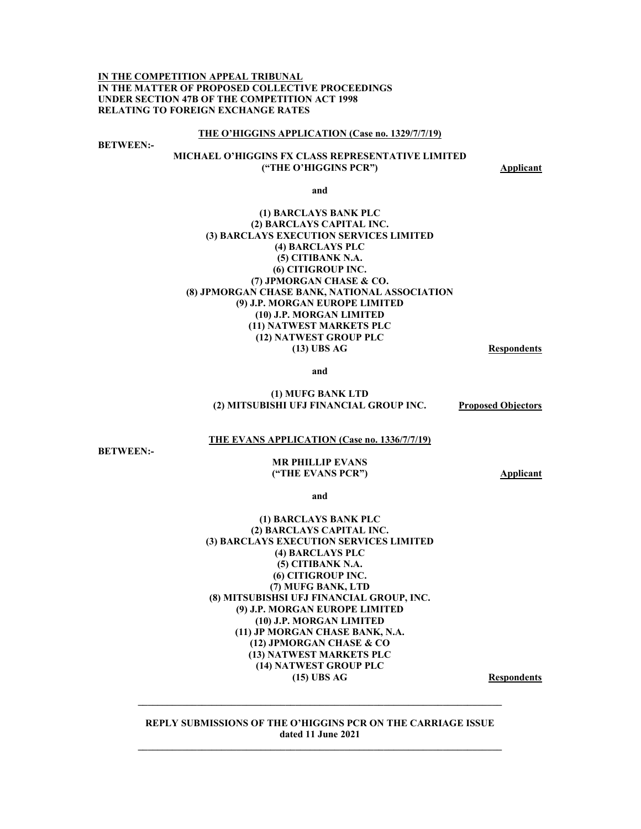**IN THE COMPETITION APPEAL TRIBUNAL IN THE MATTER OF PROPOSED COLLECTIVE PROCEEDINGS UNDER SECTION 47B OF THE COMPETITION ACT 1998 RELATING TO FOREIGN EXCHANGE RATES** 

#### **THE O'HIGGINS APPLICATION (Case no. 1329/7/7/19)**

**BETWEEN:-** 

### **MICHAEL O'HIGGINS FX CLASS REPRESENTATIVE LIMITED ("THE O'HIGGINS PCR")** Applicant

**and** 

#### **(1) BARCLAYS BANK PLC (2) BARCLAYS CAPITAL INC. (3) BARCLAYS EXECUTION SERVICES LIMITED (4) BARCLAYS PLC (5) CITIBANK N.A. (6) CITIGROUP INC. (7) JPMORGAN CHASE & CO. (8) JPMORGAN CHASE BANK, NATIONAL ASSOCIATION (9) J.P. MORGAN EUROPE LIMITED (10) J.P. MORGAN LIMITED (11) NATWEST MARKETS PLC (12) NATWEST GROUP PLC (13) UBS AG Respondents**

**and** 

#### **(1) MUFG BANK LTD (2) MITSUBISHI UFJ FINANCIAL GROUP INC. Proposed Objectors**

#### **THE EVANS APPLICATION (Case no. 1336/7/7/19)**

**BETWEEN:-** 

#### **MR PHILLIP EVANS ("THE EVANS PCR") Applicant**

**and** 

#### **(1) BARCLAYS BANK PLC (2) BARCLAYS CAPITAL INC. (3) BARCLAYS EXECUTION SERVICES LIMITED (4) BARCLAYS PLC (5) CITIBANK N.A. (6) CITIGROUP INC. (7) MUFG BANK, LTD (8) MITSUBISHSI UFJ FINANCIAL GROUP, INC. (9) J.P. MORGAN EUROPE LIMITED (10) J.P. MORGAN LIMITED (11) JP MORGAN CHASE BANK, N.A. (12) JPMORGAN CHASE & CO (13) NATWEST MARKETS PLC (14) NATWEST GROUP PLC**  (15) UBS AG Respondents

**REPLY SUBMISSIONS OF THE O'HIGGINS PCR ON THE CARRIAGE ISSUE dated 11 June 2021** 

 $\mathcal{L} = \{ \mathcal{L} \mathcal{L} \mathcal{L} \mathcal{L} \mathcal{L} \mathcal{L} \mathcal{L} \mathcal{L} \mathcal{L} \mathcal{L} \mathcal{L} \mathcal{L} \mathcal{L} \mathcal{L} \mathcal{L} \mathcal{L} \mathcal{L} \mathcal{L} \mathcal{L} \mathcal{L} \mathcal{L} \mathcal{L} \mathcal{L} \mathcal{L} \mathcal{L} \mathcal{L} \mathcal{L} \mathcal{L} \mathcal{L} \mathcal{L} \mathcal{L} \mathcal{L} \mathcal{L} \mathcal{L} \mathcal{L} \$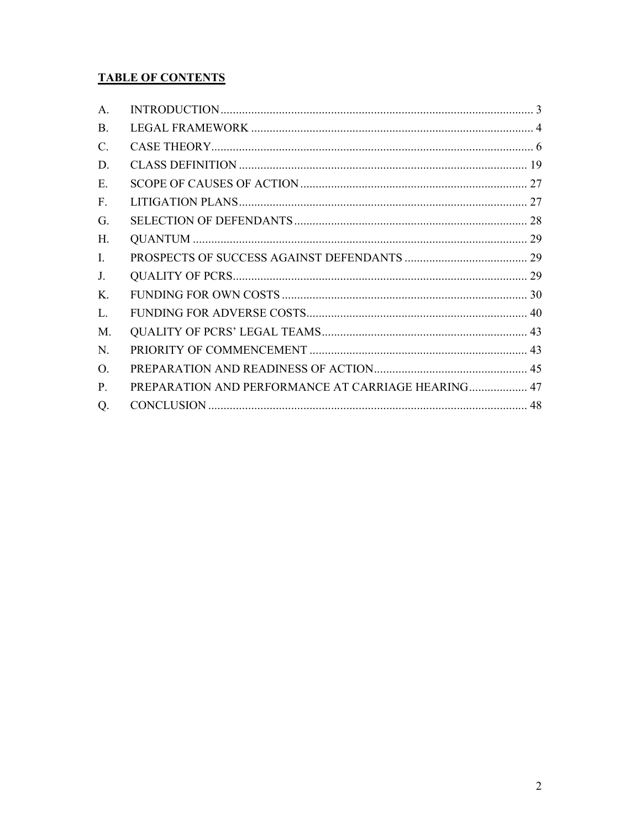# **TABLE OF CONTENTS**

| A.              |                                                    |  |
|-----------------|----------------------------------------------------|--|
| <b>B.</b>       |                                                    |  |
| $\mathcal{C}$ . |                                                    |  |
| D.              |                                                    |  |
| E.              |                                                    |  |
| F.              |                                                    |  |
| G.              |                                                    |  |
| Н.              |                                                    |  |
| Ι.              |                                                    |  |
| J.              |                                                    |  |
| Κ.              |                                                    |  |
| L.              |                                                    |  |
| M.              |                                                    |  |
| N.              |                                                    |  |
| O.              |                                                    |  |
| $P_{\cdot}$     | PREPARATION AND PERFORMANCE AT CARRIAGE HEARING 47 |  |
| Q.              |                                                    |  |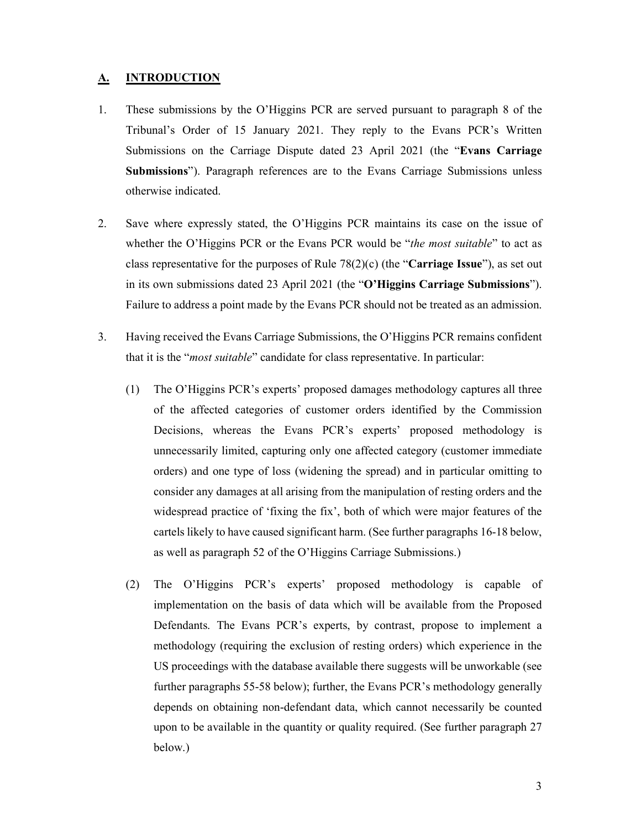## **A. INTRODUCTION**

- 1. These submissions by the O'Higgins PCR are served pursuant to paragraph 8 of the Tribunal's Order of 15 January 2021. They reply to the Evans PCR's Written Submissions on the Carriage Dispute dated 23 April 2021 (the "**Evans Carriage Submissions**"). Paragraph references are to the Evans Carriage Submissions unless otherwise indicated.
- 2. Save where expressly stated, the O'Higgins PCR maintains its case on the issue of whether the O'Higgins PCR or the Evans PCR would be "*the most suitable*" to act as class representative for the purposes of Rule 78(2)(c) (the "**Carriage Issue**"), as set out in its own submissions dated 23 April 2021 (the "**O'Higgins Carriage Submissions**"). Failure to address a point made by the Evans PCR should not be treated as an admission.
- 3. Having received the Evans Carriage Submissions, the O'Higgins PCR remains confident that it is the "*most suitable*" candidate for class representative. In particular:
	- (1) The O'Higgins PCR's experts' proposed damages methodology captures all three of the affected categories of customer orders identified by the Commission Decisions, whereas the Evans PCR's experts' proposed methodology is unnecessarily limited, capturing only one affected category (customer immediate orders) and one type of loss (widening the spread) and in particular omitting to consider any damages at all arising from the manipulation of resting orders and the widespread practice of 'fixing the fix', both of which were major features of the cartels likely to have caused significant harm. (See further paragraphs 16-18 below, as well as paragraph 52 of the O'Higgins Carriage Submissions.)
	- (2) The O'Higgins PCR's experts' proposed methodology is capable of implementation on the basis of data which will be available from the Proposed Defendants. The Evans PCR's experts, by contrast, propose to implement a methodology (requiring the exclusion of resting orders) which experience in the US proceedings with the database available there suggests will be unworkable (see further paragraphs 55-58 below); further, the Evans PCR's methodology generally depends on obtaining non-defendant data, which cannot necessarily be counted upon to be available in the quantity or quality required. (See further paragraph 27 below.)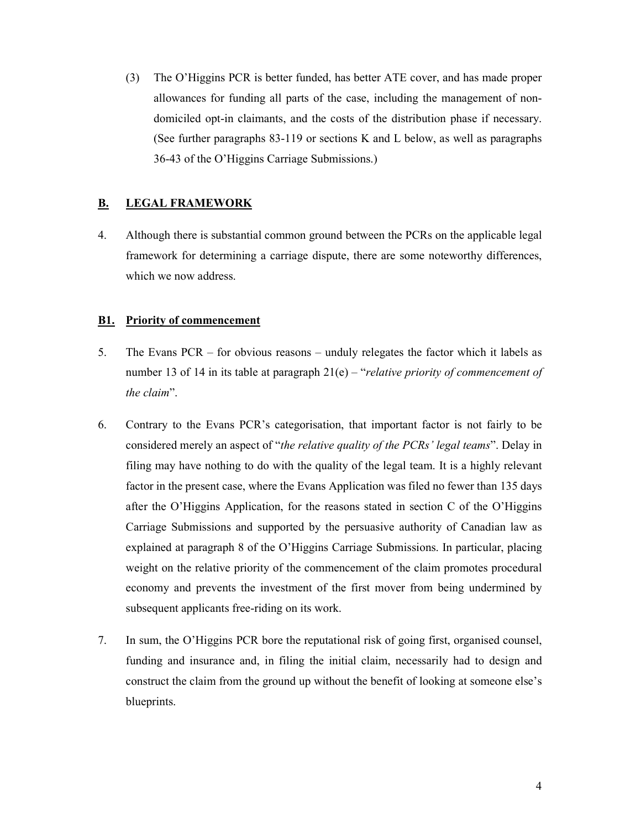(3) The O'Higgins PCR is better funded, has better ATE cover, and has made proper allowances for funding all parts of the case, including the management of nondomiciled opt-in claimants, and the costs of the distribution phase if necessary. (See further paragraphs 83-119 or sections K and L below, as well as paragraphs 36-43 of the O'Higgins Carriage Submissions.)

## **B. LEGAL FRAMEWORK**

4. Although there is substantial common ground between the PCRs on the applicable legal framework for determining a carriage dispute, there are some noteworthy differences, which we now address.

## **B1. Priority of commencement**

- 5. The Evans PCR for obvious reasons unduly relegates the factor which it labels as number 13 of 14 in its table at paragraph 21(e) – "*relative priority of commencement of the claim*".
- 6. Contrary to the Evans PCR's categorisation, that important factor is not fairly to be considered merely an aspect of "*the relative quality of the PCRs' legal teams*". Delay in filing may have nothing to do with the quality of the legal team. It is a highly relevant factor in the present case, where the Evans Application was filed no fewer than 135 days after the O'Higgins Application, for the reasons stated in section C of the O'Higgins Carriage Submissions and supported by the persuasive authority of Canadian law as explained at paragraph 8 of the O'Higgins Carriage Submissions. In particular, placing weight on the relative priority of the commencement of the claim promotes procedural economy and prevents the investment of the first mover from being undermined by subsequent applicants free-riding on its work.
- 7. In sum, the O'Higgins PCR bore the reputational risk of going first, organised counsel, funding and insurance and, in filing the initial claim, necessarily had to design and construct the claim from the ground up without the benefit of looking at someone else's blueprints.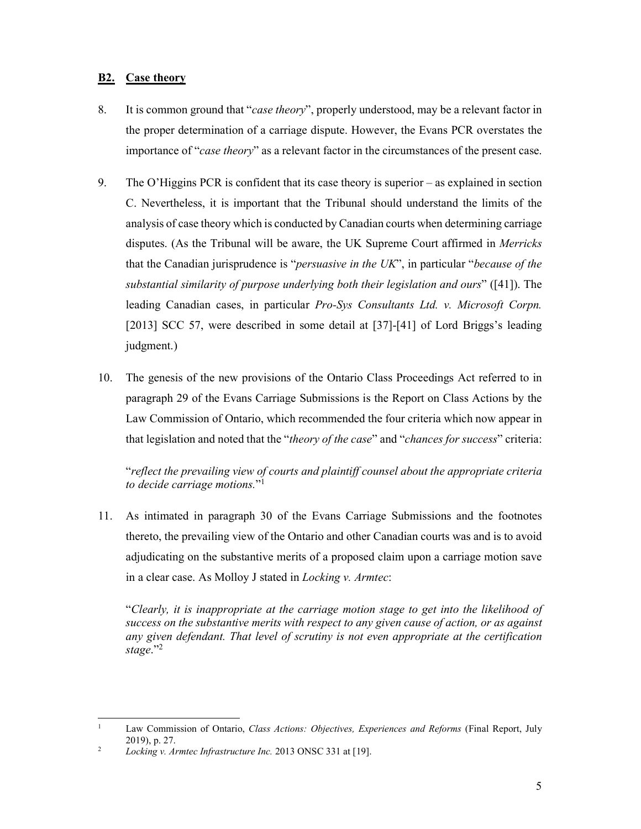## **B2. Case theory**

- 8. It is common ground that "*case theory*", properly understood, may be a relevant factor in the proper determination of a carriage dispute. However, the Evans PCR overstates the importance of "*case theory*" as a relevant factor in the circumstances of the present case.
- 9. The O'Higgins PCR is confident that its case theory is superior as explained in section C. Nevertheless, it is important that the Tribunal should understand the limits of the analysis of case theory which is conducted by Canadian courts when determining carriage disputes. (As the Tribunal will be aware, the UK Supreme Court affirmed in *Merricks*  that the Canadian jurisprudence is "*persuasive in the UK*", in particular "*because of the substantial similarity of purpose underlying both their legislation and ours*" ([41]). The leading Canadian cases, in particular *Pro-Sys Consultants Ltd. v. Microsoft Corpn.*  [2013] SCC 57, were described in some detail at [37]-[41] of Lord Briggs's leading judgment.)
- 10. The genesis of the new provisions of the Ontario Class Proceedings Act referred to in paragraph 29 of the Evans Carriage Submissions is the Report on Class Actions by the Law Commission of Ontario, which recommended the four criteria which now appear in that legislation and noted that the "*theory of the case*" and "*chances for success*" criteria:

"*reflect the prevailing view of courts and plaintiff counsel about the appropriate criteria to decide carriage motions.*"1

11. As intimated in paragraph 30 of the Evans Carriage Submissions and the footnotes thereto, the prevailing view of the Ontario and other Canadian courts was and is to avoid adjudicating on the substantive merits of a proposed claim upon a carriage motion save in a clear case. As Molloy J stated in *Locking v. Armtec*:

"*Clearly, it is inappropriate at the carriage motion stage to get into the likelihood of success on the substantive merits with respect to any given cause of action, or as against any given defendant. That level of scrutiny is not even appropriate at the certification stage*."2

1

<sup>1</sup> Law Commission of Ontario, *Class Actions: Objectives, Experiences and Reforms* (Final Report, July 2019), p. 27.

<sup>2</sup> *Locking v. Armtec Infrastructure Inc.* 2013 ONSC 331 at [19].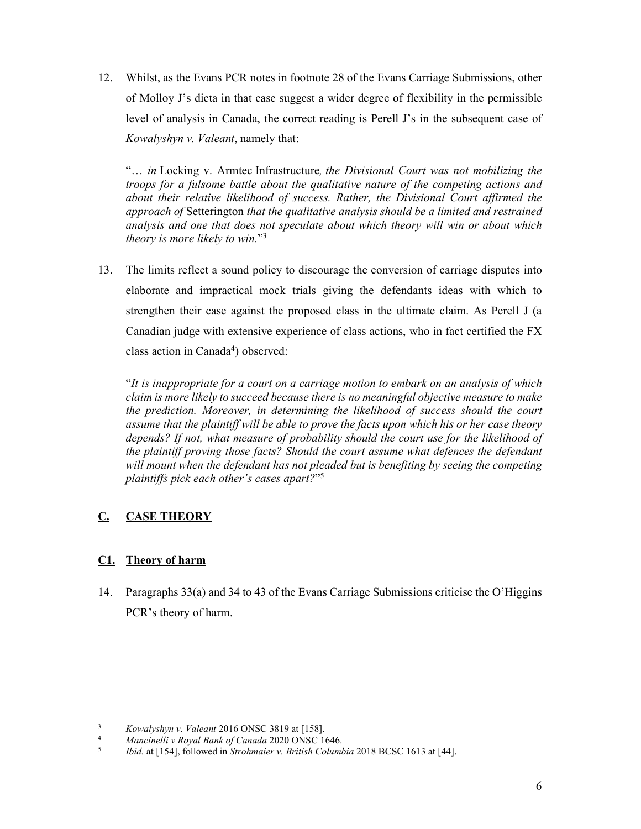12. Whilst, as the Evans PCR notes in footnote 28 of the Evans Carriage Submissions, other of Molloy J's dicta in that case suggest a wider degree of flexibility in the permissible level of analysis in Canada, the correct reading is Perell J's in the subsequent case of *Kowalyshyn v. Valeant*, namely that:

"… *in* Locking v. Armtec Infrastructure*, the Divisional Court was not mobilizing the troops for a fulsome battle about the qualitative nature of the competing actions and about their relative likelihood of success. Rather, the Divisional Court affirmed the approach of* Setterington *that the qualitative analysis should be a limited and restrained analysis and one that does not speculate about which theory will win or about which theory is more likely to win.*"3

13. The limits reflect a sound policy to discourage the conversion of carriage disputes into elaborate and impractical mock trials giving the defendants ideas with which to strengthen their case against the proposed class in the ultimate claim. As Perell J (a Canadian judge with extensive experience of class actions, who in fact certified the FX class action in Canada<sup>4</sup>) observed:

"*It is inappropriate for a court on a carriage motion to embark on an analysis of which claim is more likely to succeed because there is no meaningful objective measure to make the prediction. Moreover, in determining the likelihood of success should the court assume that the plaintiff will be able to prove the facts upon which his or her case theory depends? If not, what measure of probability should the court use for the likelihood of the plaintiff proving those facts? Should the court assume what defences the defendant will mount when the defendant has not pleaded but is benefiting by seeing the competing plaintiffs pick each other's cases apart?*"5

# **C. CASE THEORY**

# **C1. Theory of harm**

14. Paragraphs 33(a) and 34 to 43 of the Evans Carriage Submissions criticise the O'Higgins PCR's theory of harm.

 $\frac{1}{3}$ *Kowalyshyn v. Valeant* 2016 ONSC 3819 at [158]. 4

*Mancinelli v Royal Bank of Canada* 2020 ONSC 1646. 5

*Ibid.* at [154], followed in *Strohmaier v. British Columbia* 2018 BCSC 1613 at [44].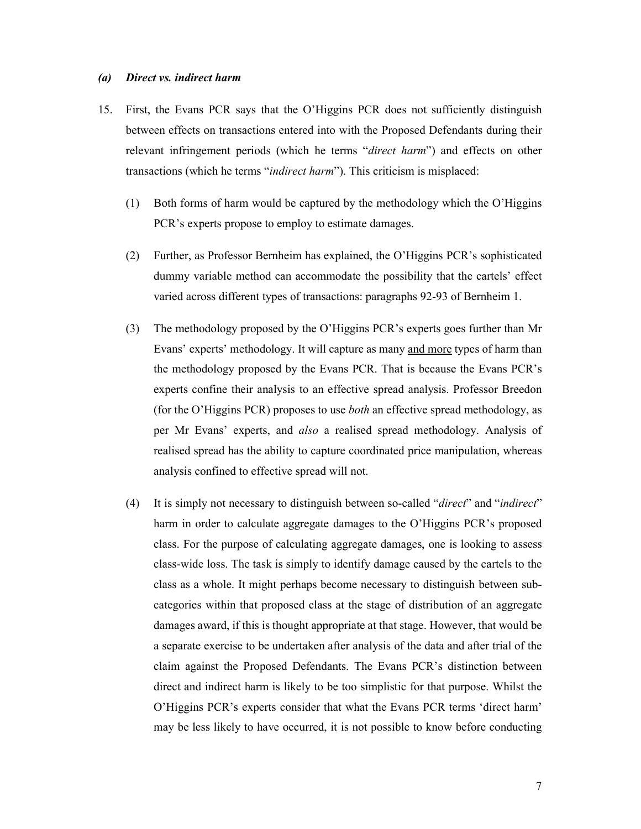### *(a) Direct vs. indirect harm*

- 15. First, the Evans PCR says that the O'Higgins PCR does not sufficiently distinguish between effects on transactions entered into with the Proposed Defendants during their relevant infringement periods (which he terms "*direct harm*") and effects on other transactions (which he terms "*indirect harm*"). This criticism is misplaced:
	- (1) Both forms of harm would be captured by the methodology which the O'Higgins PCR's experts propose to employ to estimate damages.
	- (2) Further, as Professor Bernheim has explained, the O'Higgins PCR's sophisticated dummy variable method can accommodate the possibility that the cartels' effect varied across different types of transactions: paragraphs 92-93 of Bernheim 1.
	- (3) The methodology proposed by the O'Higgins PCR's experts goes further than Mr Evans' experts' methodology. It will capture as many and more types of harm than the methodology proposed by the Evans PCR. That is because the Evans PCR's experts confine their analysis to an effective spread analysis. Professor Breedon (for the O'Higgins PCR) proposes to use *both* an effective spread methodology, as per Mr Evans' experts, and *also* a realised spread methodology. Analysis of realised spread has the ability to capture coordinated price manipulation, whereas analysis confined to effective spread will not.
	- (4) It is simply not necessary to distinguish between so-called "*direct*" and "*indirect*" harm in order to calculate aggregate damages to the O'Higgins PCR's proposed class. For the purpose of calculating aggregate damages, one is looking to assess class-wide loss. The task is simply to identify damage caused by the cartels to the class as a whole. It might perhaps become necessary to distinguish between subcategories within that proposed class at the stage of distribution of an aggregate damages award, if this is thought appropriate at that stage. However, that would be a separate exercise to be undertaken after analysis of the data and after trial of the claim against the Proposed Defendants. The Evans PCR's distinction between direct and indirect harm is likely to be too simplistic for that purpose. Whilst the O'Higgins PCR's experts consider that what the Evans PCR terms 'direct harm' may be less likely to have occurred, it is not possible to know before conducting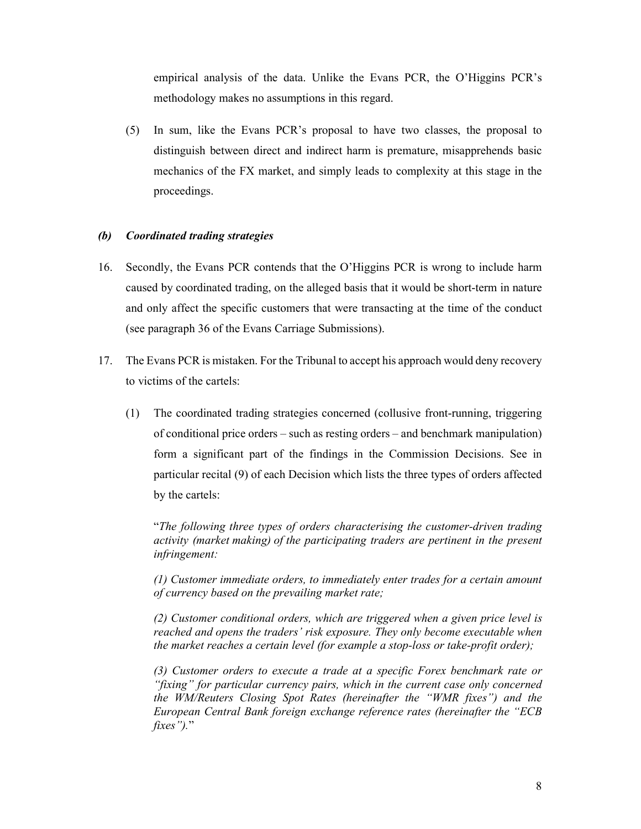empirical analysis of the data. Unlike the Evans PCR, the O'Higgins PCR's methodology makes no assumptions in this regard.

(5) In sum, like the Evans PCR's proposal to have two classes, the proposal to distinguish between direct and indirect harm is premature, misapprehends basic mechanics of the FX market, and simply leads to complexity at this stage in the proceedings.

## *(b) Coordinated trading strategies*

- 16. Secondly, the Evans PCR contends that the O'Higgins PCR is wrong to include harm caused by coordinated trading, on the alleged basis that it would be short-term in nature and only affect the specific customers that were transacting at the time of the conduct (see paragraph 36 of the Evans Carriage Submissions).
- 17. The Evans PCR is mistaken. For the Tribunal to accept his approach would deny recovery to victims of the cartels:
	- (1) The coordinated trading strategies concerned (collusive front-running, triggering of conditional price orders – such as resting orders – and benchmark manipulation) form a significant part of the findings in the Commission Decisions. See in particular recital (9) of each Decision which lists the three types of orders affected by the cartels:

"*The following three types of orders characterising the customer-driven trading activity (market making) of the participating traders are pertinent in the present infringement:* 

*(1) Customer immediate orders, to immediately enter trades for a certain amount of currency based on the prevailing market rate;* 

*(2) Customer conditional orders, which are triggered when a given price level is reached and opens the traders' risk exposure. They only become executable when the market reaches a certain level (for example a stop-loss or take-profit order);* 

*(3) Customer orders to execute a trade at a specific Forex benchmark rate or "fixing" for particular currency pairs, which in the current case only concerned the WM/Reuters Closing Spot Rates (hereinafter the "WMR fixes") and the European Central Bank foreign exchange reference rates (hereinafter the "ECB fixes").*"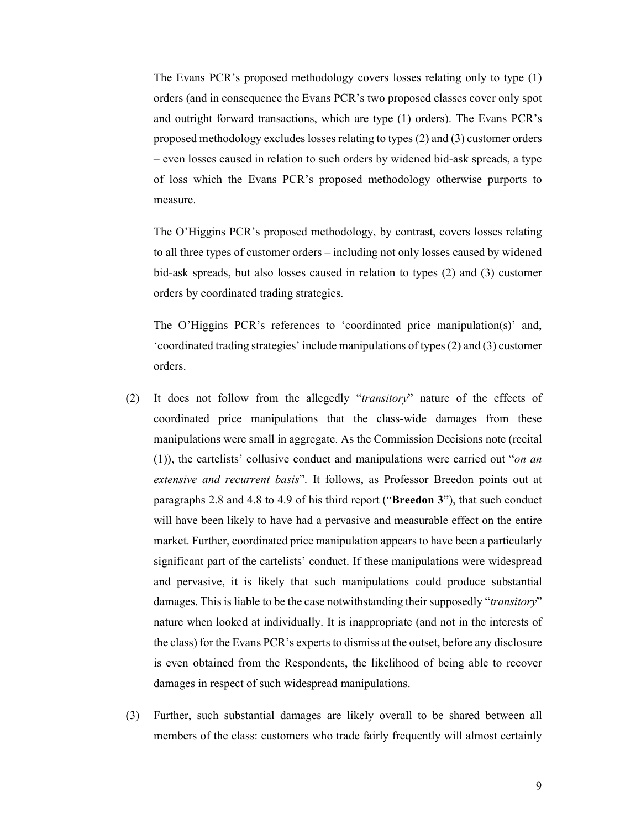The Evans PCR's proposed methodology covers losses relating only to type (1) orders (and in consequence the Evans PCR's two proposed classes cover only spot and outright forward transactions, which are type (1) orders). The Evans PCR's proposed methodology excludes losses relating to types (2) and (3) customer orders – even losses caused in relation to such orders by widened bid-ask spreads, a type of loss which the Evans PCR's proposed methodology otherwise purports to measure.

The O'Higgins PCR's proposed methodology, by contrast, covers losses relating to all three types of customer orders – including not only losses caused by widened bid-ask spreads, but also losses caused in relation to types (2) and (3) customer orders by coordinated trading strategies.

The O'Higgins PCR's references to 'coordinated price manipulation(s)' and, 'coordinated trading strategies' include manipulations of types (2) and (3) customer orders.

- (2) It does not follow from the allegedly "*transitory*" nature of the effects of coordinated price manipulations that the class-wide damages from these manipulations were small in aggregate. As the Commission Decisions note (recital (1)), the cartelists' collusive conduct and manipulations were carried out "*on an extensive and recurrent basis*". It follows, as Professor Breedon points out at paragraphs 2.8 and 4.8 to 4.9 of his third report ("**Breedon 3**"), that such conduct will have been likely to have had a pervasive and measurable effect on the entire market. Further, coordinated price manipulation appears to have been a particularly significant part of the cartelists' conduct. If these manipulations were widespread and pervasive, it is likely that such manipulations could produce substantial damages. This is liable to be the case notwithstanding their supposedly "*transitory*" nature when looked at individually. It is inappropriate (and not in the interests of the class) for the Evans PCR's experts to dismiss at the outset, before any disclosure is even obtained from the Respondents, the likelihood of being able to recover damages in respect of such widespread manipulations.
- (3) Further, such substantial damages are likely overall to be shared between all members of the class: customers who trade fairly frequently will almost certainly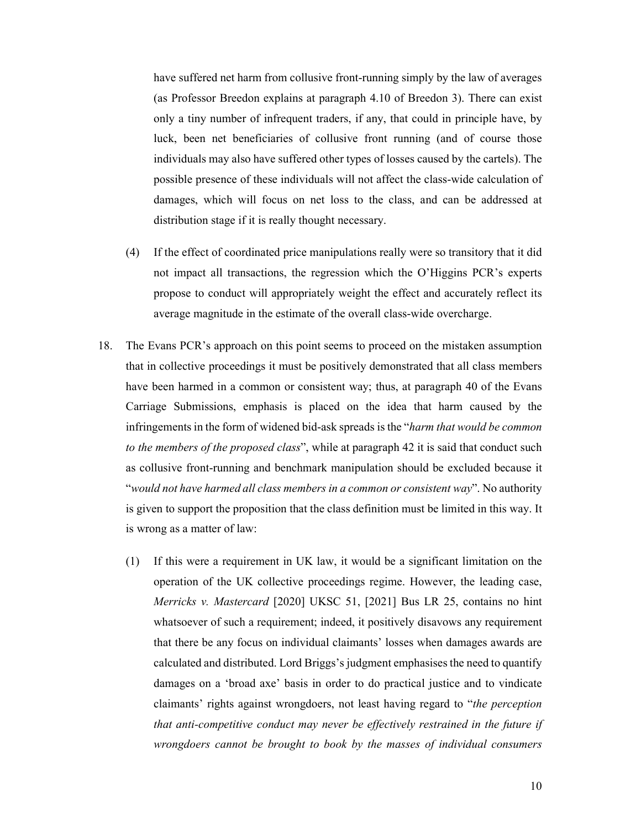have suffered net harm from collusive front-running simply by the law of averages (as Professor Breedon explains at paragraph 4.10 of Breedon 3). There can exist only a tiny number of infrequent traders, if any, that could in principle have, by luck, been net beneficiaries of collusive front running (and of course those individuals may also have suffered other types of losses caused by the cartels). The possible presence of these individuals will not affect the class-wide calculation of damages, which will focus on net loss to the class, and can be addressed at distribution stage if it is really thought necessary.

- (4) If the effect of coordinated price manipulations really were so transitory that it did not impact all transactions, the regression which the O'Higgins PCR's experts propose to conduct will appropriately weight the effect and accurately reflect its average magnitude in the estimate of the overall class-wide overcharge.
- 18. The Evans PCR's approach on this point seems to proceed on the mistaken assumption that in collective proceedings it must be positively demonstrated that all class members have been harmed in a common or consistent way; thus, at paragraph 40 of the Evans Carriage Submissions, emphasis is placed on the idea that harm caused by the infringements in the form of widened bid-ask spreads is the "*harm that would be common to the members of the proposed class*", while at paragraph 42 it is said that conduct such as collusive front-running and benchmark manipulation should be excluded because it "*would not have harmed all class members in a common or consistent way*". No authority is given to support the proposition that the class definition must be limited in this way. It is wrong as a matter of law:
	- (1) If this were a requirement in UK law, it would be a significant limitation on the operation of the UK collective proceedings regime. However, the leading case, *Merricks v. Mastercard* [2020] UKSC 51, [2021] Bus LR 25, contains no hint whatsoever of such a requirement; indeed, it positively disavows any requirement that there be any focus on individual claimants' losses when damages awards are calculated and distributed. Lord Briggs's judgment emphasises the need to quantify damages on a 'broad axe' basis in order to do practical justice and to vindicate claimants' rights against wrongdoers, not least having regard to "*the perception that anti-competitive conduct may never be effectively restrained in the future if wrongdoers cannot be brought to book by the masses of individual consumers*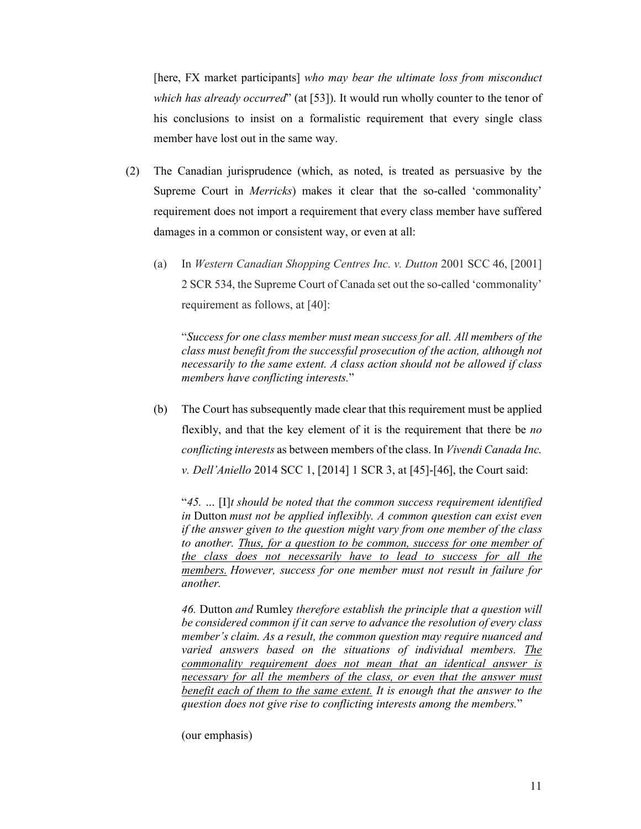[here, FX market participants] *who may bear the ultimate loss from misconduct which has already occurred*" (at [53]). It would run wholly counter to the tenor of his conclusions to insist on a formalistic requirement that every single class member have lost out in the same way.

- (2) The Canadian jurisprudence (which, as noted, is treated as persuasive by the Supreme Court in *Merricks*) makes it clear that the so-called 'commonality' requirement does not import a requirement that every class member have suffered damages in a common or consistent way, or even at all:
	- (a) In *Western Canadian Shopping Centres Inc. v. Dutton* 2001 SCC 46, [2001] 2 SCR 534, the Supreme Court of Canada set out the so-called 'commonality' requirement as follows, at [40]:

"*Success for one class member must mean success for all. All members of the class must benefit from the successful prosecution of the action, although not necessarily to the same extent. A class action should not be allowed if class members have conflicting interests.*"

(b) The Court has subsequently made clear that this requirement must be applied flexibly, and that the key element of it is the requirement that there be *no conflicting interests* as between members of the class. In *Vivendi Canada Inc. v. Dell'Aniello* 2014 SCC 1, [2014] 1 SCR 3, at [45]-[46], the Court said:

"*45. …* [I]*t should be noted that the common success requirement identified in* Dutton *must not be applied inflexibly. A common question can exist even if the answer given to the question might vary from one member of the class to another. Thus, for a question to be common, success for one member of the class does not necessarily have to lead to success for all the members. However, success for one member must not result in failure for another.* 

*46.* Dutton *and* Rumley *therefore establish the principle that a question will be considered common if it can serve to advance the resolution of every class member's claim. As a result, the common question may require nuanced and varied answers based on the situations of individual members. The commonality requirement does not mean that an identical answer is necessary for all the members of the class, or even that the answer must benefit each of them to the same extent. It is enough that the answer to the question does not give rise to conflicting interests among the members.*"

(our emphasis)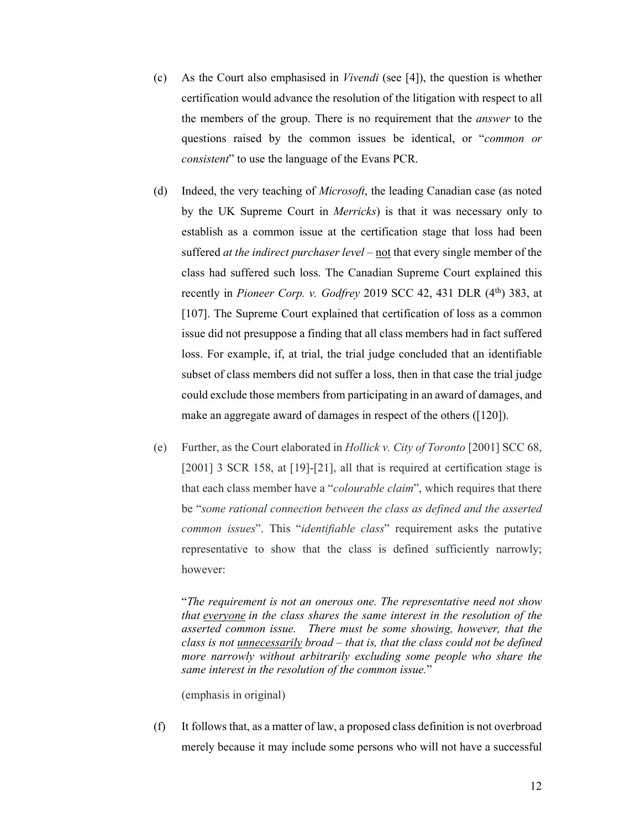- (c) As the Court also emphasised in *Vivendi* (see [4]), the question is whether certification would advance the resolution of the litigation with respect to all the members of the group. There is no requirement that the *answer* to the questions raised by the common issues be identical, or "*common or consistent*" to use the language of the Evans PCR.
- (d) Indeed, the very teaching of *Microsoft*, the leading Canadian case (as noted by the UK Supreme Court in *Merricks*) is that it was necessary only to establish as a common issue at the certification stage that loss had been suffered *at the indirect purchaser level* – not that every single member of the class had suffered such loss. The Canadian Supreme Court explained this recently in *Pioneer Corp. v. Godfrey* 2019 SCC 42, 431 DLR (4<sup>th</sup>) 383, at [107]. The Supreme Court explained that certification of loss as a common issue did not presuppose a finding that all class members had in fact suffered loss. For example, if, at trial, the trial judge concluded that an identifiable subset of class members did not suffer a loss, then in that case the trial judge could exclude those members from participating in an award of damages, and make an aggregate award of damages in respect of the others ([120]).
- (e) Further, as the Court elaborated in *Hollick v. City of Toronto* [2001] SCC 68, [2001] 3 SCR 158, at [19]-[21], all that is required at certification stage is that each class member have a "*colourable claim*", which requires that there be "*some rational connection between the class as defined and the asserted common issues*". This "*identifiable class*" requirement asks the putative representative to show that the class is defined sufficiently narrowly; however:

"*The requirement is not an onerous one. The representative need not show that everyone in the class shares the same interest in the resolution of the asserted common issue. There must be some showing, however, that the class is not unnecessarily broad – that is, that the class could not be defined more narrowly without arbitrarily excluding some people who share the same interest in the resolution of the common issue.*"

(emphasis in original)

(f) It follows that, as a matter of law, a proposed class definition is not overbroad merely because it may include some persons who will not have a successful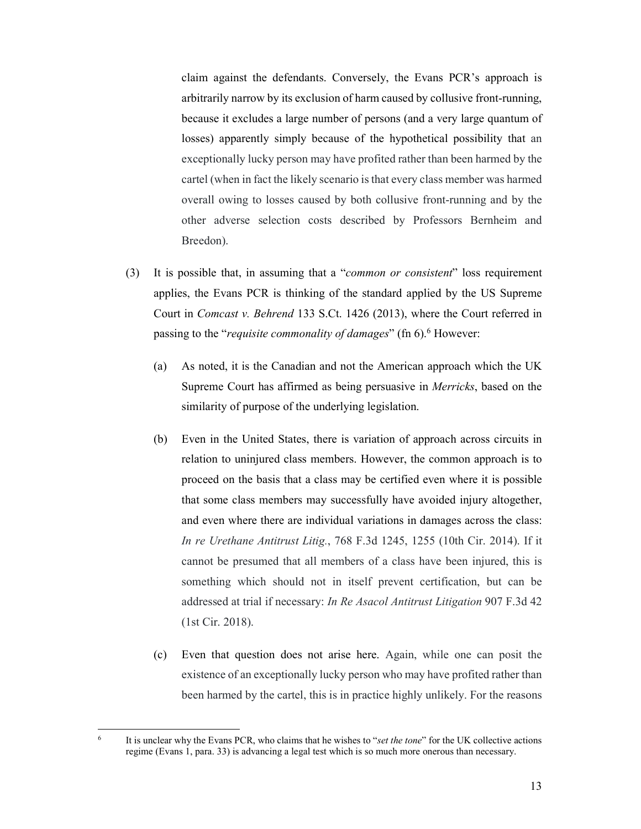claim against the defendants. Conversely, the Evans PCR's approach is arbitrarily narrow by its exclusion of harm caused by collusive front-running, because it excludes a large number of persons (and a very large quantum of losses) apparently simply because of the hypothetical possibility that an exceptionally lucky person may have profited rather than been harmed by the cartel (when in fact the likely scenario is that every class member was harmed overall owing to losses caused by both collusive front-running and by the other adverse selection costs described by Professors Bernheim and Breedon).

- (3) It is possible that, in assuming that a "*common or consistent*" loss requirement applies, the Evans PCR is thinking of the standard applied by the US Supreme Court in *Comcast v. Behrend* 133 S.Ct. 1426 (2013), where the Court referred in passing to the "*requisite commonality of damages*" (fn 6).<sup>6</sup> However:
	- (a) As noted, it is the Canadian and not the American approach which the UK Supreme Court has affirmed as being persuasive in *Merricks*, based on the similarity of purpose of the underlying legislation.
	- (b) Even in the United States, there is variation of approach across circuits in relation to uninjured class members. However, the common approach is to proceed on the basis that a class may be certified even where it is possible that some class members may successfully have avoided injury altogether, and even where there are individual variations in damages across the class: *In re Urethane Antitrust Litig.*, 768 F.3d 1245, 1255 (10th Cir. 2014). If it cannot be presumed that all members of a class have been injured, this is something which should not in itself prevent certification, but can be addressed at trial if necessary: *In Re Asacol Antitrust Litigation* 907 F.3d 42 (1st Cir. 2018).
	- (c) Even that question does not arise here. Again, while one can posit the existence of an exceptionally lucky person who may have profited rather than been harmed by the cartel, this is in practice highly unlikely. For the reasons

 $\frac{1}{6}$  It is unclear why the Evans PCR, who claims that he wishes to "*set the tone*" for the UK collective actions regime (Evans 1, para. 33) is advancing a legal test which is so much more onerous than necessary.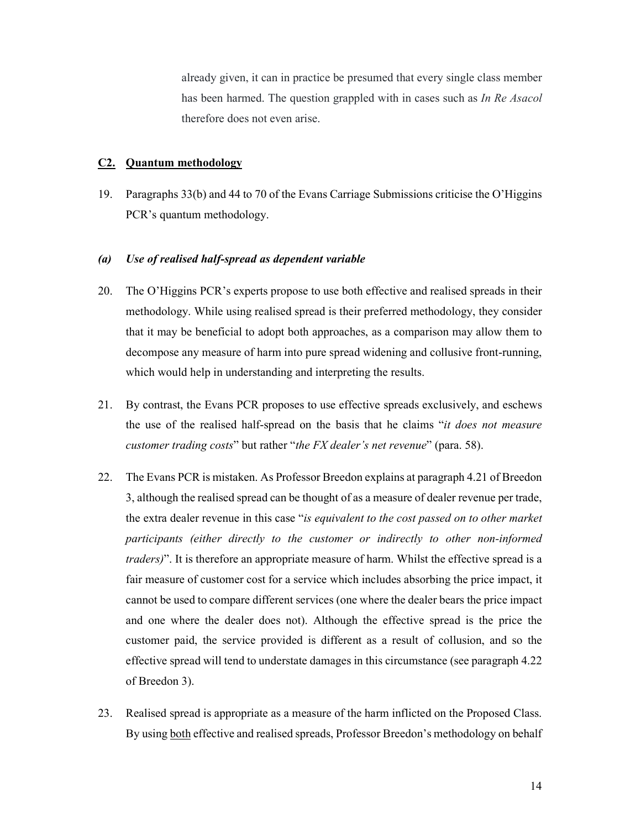already given, it can in practice be presumed that every single class member has been harmed. The question grappled with in cases such as *In Re Asacol*  therefore does not even arise.

### **C2. Quantum methodology**

19. Paragraphs 33(b) and 44 to 70 of the Evans Carriage Submissions criticise the O'Higgins PCR's quantum methodology.

### *(a) Use of realised half-spread as dependent variable*

- 20. The O'Higgins PCR's experts propose to use both effective and realised spreads in their methodology. While using realised spread is their preferred methodology, they consider that it may be beneficial to adopt both approaches, as a comparison may allow them to decompose any measure of harm into pure spread widening and collusive front-running, which would help in understanding and interpreting the results.
- 21. By contrast, the Evans PCR proposes to use effective spreads exclusively, and eschews the use of the realised half-spread on the basis that he claims "*it does not measure customer trading costs*" but rather "*the FX dealer's net revenue*" (para. 58).
- 22. The Evans PCR is mistaken. As Professor Breedon explains at paragraph 4.21 of Breedon 3, although the realised spread can be thought of as a measure of dealer revenue per trade, the extra dealer revenue in this case "*is equivalent to the cost passed on to other market participants (either directly to the customer or indirectly to other non-informed traders*)". It is therefore an appropriate measure of harm. Whilst the effective spread is a fair measure of customer cost for a service which includes absorbing the price impact, it cannot be used to compare different services (one where the dealer bears the price impact and one where the dealer does not). Although the effective spread is the price the customer paid, the service provided is different as a result of collusion, and so the effective spread will tend to understate damages in this circumstance (see paragraph 4.22 of Breedon 3).
- 23. Realised spread is appropriate as a measure of the harm inflicted on the Proposed Class. By using both effective and realised spreads, Professor Breedon's methodology on behalf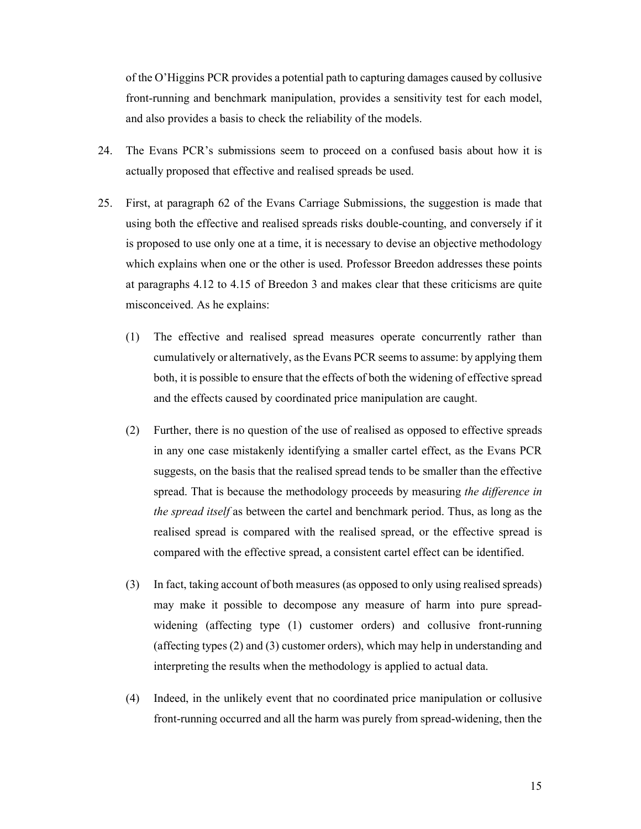of the O'Higgins PCR provides a potential path to capturing damages caused by collusive front-running and benchmark manipulation, provides a sensitivity test for each model, and also provides a basis to check the reliability of the models.

- 24. The Evans PCR's submissions seem to proceed on a confused basis about how it is actually proposed that effective and realised spreads be used.
- 25. First, at paragraph 62 of the Evans Carriage Submissions, the suggestion is made that using both the effective and realised spreads risks double-counting, and conversely if it is proposed to use only one at a time, it is necessary to devise an objective methodology which explains when one or the other is used. Professor Breedon addresses these points at paragraphs 4.12 to 4.15 of Breedon 3 and makes clear that these criticisms are quite misconceived. As he explains:
	- (1) The effective and realised spread measures operate concurrently rather than cumulatively or alternatively, as the Evans PCR seems to assume: by applying them both, it is possible to ensure that the effects of both the widening of effective spread and the effects caused by coordinated price manipulation are caught.
	- (2) Further, there is no question of the use of realised as opposed to effective spreads in any one case mistakenly identifying a smaller cartel effect, as the Evans PCR suggests, on the basis that the realised spread tends to be smaller than the effective spread. That is because the methodology proceeds by measuring *the difference in the spread itself* as between the cartel and benchmark period. Thus, as long as the realised spread is compared with the realised spread, or the effective spread is compared with the effective spread, a consistent cartel effect can be identified.
	- (3) In fact, taking account of both measures (as opposed to only using realised spreads) may make it possible to decompose any measure of harm into pure spreadwidening (affecting type (1) customer orders) and collusive front-running (affecting types (2) and (3) customer orders), which may help in understanding and interpreting the results when the methodology is applied to actual data.
	- (4) Indeed, in the unlikely event that no coordinated price manipulation or collusive front-running occurred and all the harm was purely from spread-widening, then the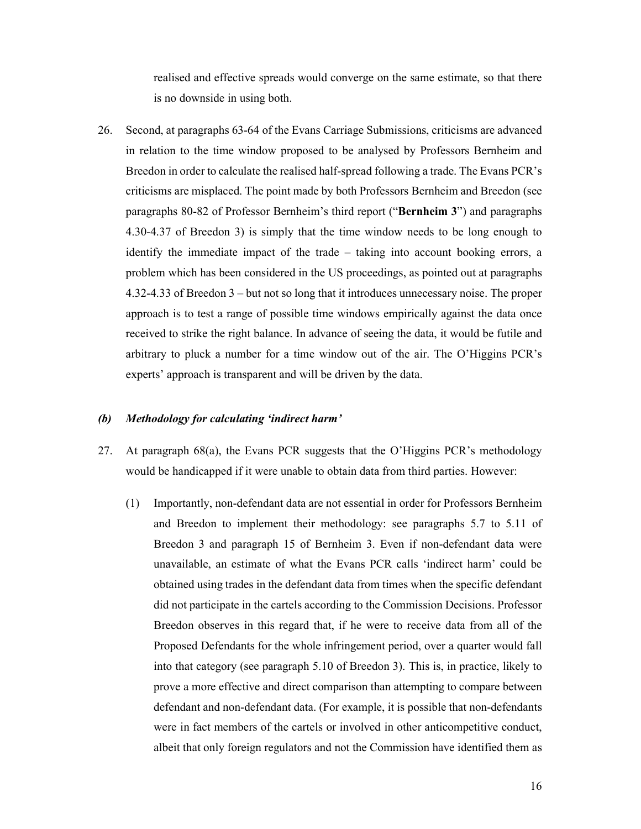realised and effective spreads would converge on the same estimate, so that there is no downside in using both.

26. Second, at paragraphs 63-64 of the Evans Carriage Submissions, criticisms are advanced in relation to the time window proposed to be analysed by Professors Bernheim and Breedon in order to calculate the realised half-spread following a trade. The Evans PCR's criticisms are misplaced. The point made by both Professors Bernheim and Breedon (see paragraphs 80-82 of Professor Bernheim's third report ("**Bernheim 3**") and paragraphs 4.30-4.37 of Breedon 3) is simply that the time window needs to be long enough to identify the immediate impact of the trade – taking into account booking errors, a problem which has been considered in the US proceedings, as pointed out at paragraphs 4.32-4.33 of Breedon 3 – but not so long that it introduces unnecessary noise. The proper approach is to test a range of possible time windows empirically against the data once received to strike the right balance. In advance of seeing the data, it would be futile and arbitrary to pluck a number for a time window out of the air. The O'Higgins PCR's experts' approach is transparent and will be driven by the data.

### *(b) Methodology for calculating 'indirect harm'*

- 27. At paragraph 68(a), the Evans PCR suggests that the O'Higgins PCR's methodology would be handicapped if it were unable to obtain data from third parties. However:
	- (1) Importantly, non-defendant data are not essential in order for Professors Bernheim and Breedon to implement their methodology: see paragraphs 5.7 to 5.11 of Breedon 3 and paragraph 15 of Bernheim 3. Even if non-defendant data were unavailable, an estimate of what the Evans PCR calls 'indirect harm' could be obtained using trades in the defendant data from times when the specific defendant did not participate in the cartels according to the Commission Decisions. Professor Breedon observes in this regard that, if he were to receive data from all of the Proposed Defendants for the whole infringement period, over a quarter would fall into that category (see paragraph 5.10 of Breedon 3). This is, in practice, likely to prove a more effective and direct comparison than attempting to compare between defendant and non-defendant data. (For example, it is possible that non-defendants were in fact members of the cartels or involved in other anticompetitive conduct, albeit that only foreign regulators and not the Commission have identified them as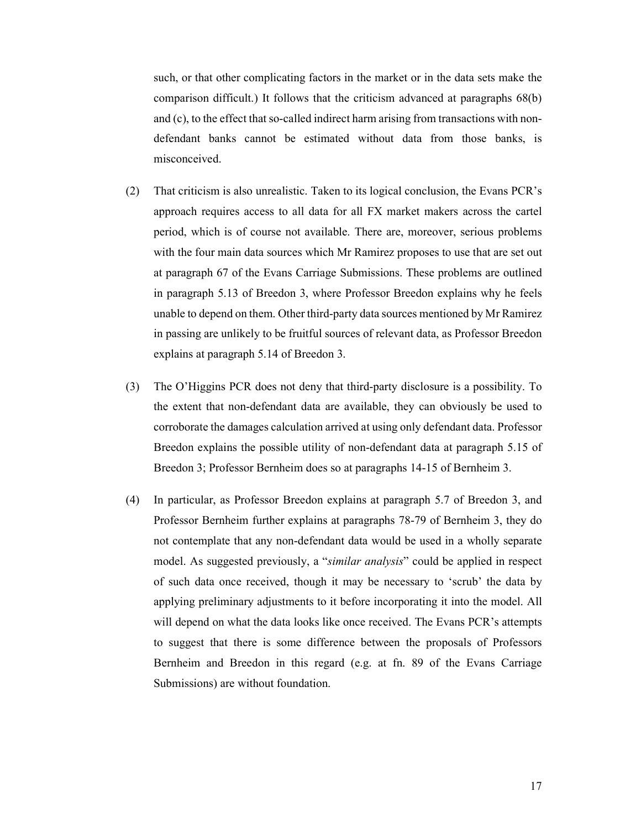such, or that other complicating factors in the market or in the data sets make the comparison difficult.) It follows that the criticism advanced at paragraphs 68(b) and (c), to the effect that so-called indirect harm arising from transactions with nondefendant banks cannot be estimated without data from those banks, is misconceived.

- (2) That criticism is also unrealistic. Taken to its logical conclusion, the Evans PCR's approach requires access to all data for all FX market makers across the cartel period, which is of course not available. There are, moreover, serious problems with the four main data sources which Mr Ramirez proposes to use that are set out at paragraph 67 of the Evans Carriage Submissions. These problems are outlined in paragraph 5.13 of Breedon 3, where Professor Breedon explains why he feels unable to depend on them. Other third-party data sources mentioned by Mr Ramirez in passing are unlikely to be fruitful sources of relevant data, as Professor Breedon explains at paragraph 5.14 of Breedon 3.
- (3) The O'Higgins PCR does not deny that third-party disclosure is a possibility. To the extent that non-defendant data are available, they can obviously be used to corroborate the damages calculation arrived at using only defendant data. Professor Breedon explains the possible utility of non-defendant data at paragraph 5.15 of Breedon 3; Professor Bernheim does so at paragraphs 14-15 of Bernheim 3.
- (4) In particular, as Professor Breedon explains at paragraph 5.7 of Breedon 3, and Professor Bernheim further explains at paragraphs 78-79 of Bernheim 3, they do not contemplate that any non-defendant data would be used in a wholly separate model. As suggested previously, a "*similar analysis*" could be applied in respect of such data once received, though it may be necessary to 'scrub' the data by applying preliminary adjustments to it before incorporating it into the model. All will depend on what the data looks like once received. The Evans PCR's attempts to suggest that there is some difference between the proposals of Professors Bernheim and Breedon in this regard (e.g. at fn. 89 of the Evans Carriage Submissions) are without foundation.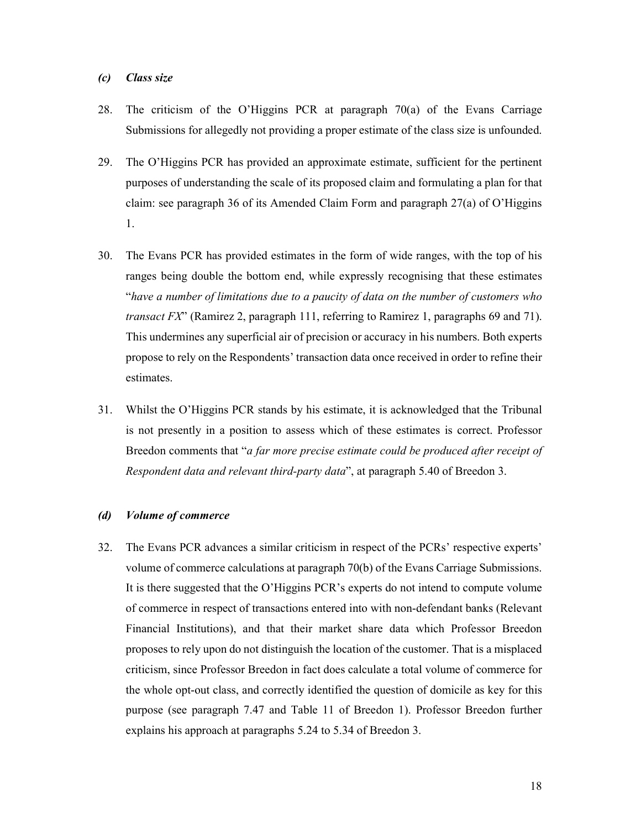### *(c) Class size*

- 28. The criticism of the O'Higgins PCR at paragraph 70(a) of the Evans Carriage Submissions for allegedly not providing a proper estimate of the class size is unfounded.
- 29. The O'Higgins PCR has provided an approximate estimate, sufficient for the pertinent purposes of understanding the scale of its proposed claim and formulating a plan for that claim: see paragraph 36 of its Amended Claim Form and paragraph 27(a) of O'Higgins 1.
- 30. The Evans PCR has provided estimates in the form of wide ranges, with the top of his ranges being double the bottom end, while expressly recognising that these estimates "*have a number of limitations due to a paucity of data on the number of customers who transact FX*" (Ramirez 2, paragraph 111, referring to Ramirez 1, paragraphs 69 and 71). This undermines any superficial air of precision or accuracy in his numbers. Both experts propose to rely on the Respondents' transaction data once received in order to refine their estimates.
- 31. Whilst the O'Higgins PCR stands by his estimate, it is acknowledged that the Tribunal is not presently in a position to assess which of these estimates is correct. Professor Breedon comments that "*a far more precise estimate could be produced after receipt of Respondent data and relevant third-party data*", at paragraph 5.40 of Breedon 3.

## *(d) Volume of commerce*

32. The Evans PCR advances a similar criticism in respect of the PCRs' respective experts' volume of commerce calculations at paragraph 70(b) of the Evans Carriage Submissions. It is there suggested that the O'Higgins PCR's experts do not intend to compute volume of commerce in respect of transactions entered into with non-defendant banks (Relevant Financial Institutions), and that their market share data which Professor Breedon proposes to rely upon do not distinguish the location of the customer. That is a misplaced criticism, since Professor Breedon in fact does calculate a total volume of commerce for the whole opt-out class, and correctly identified the question of domicile as key for this purpose (see paragraph 7.47 and Table 11 of Breedon 1). Professor Breedon further explains his approach at paragraphs 5.24 to 5.34 of Breedon 3.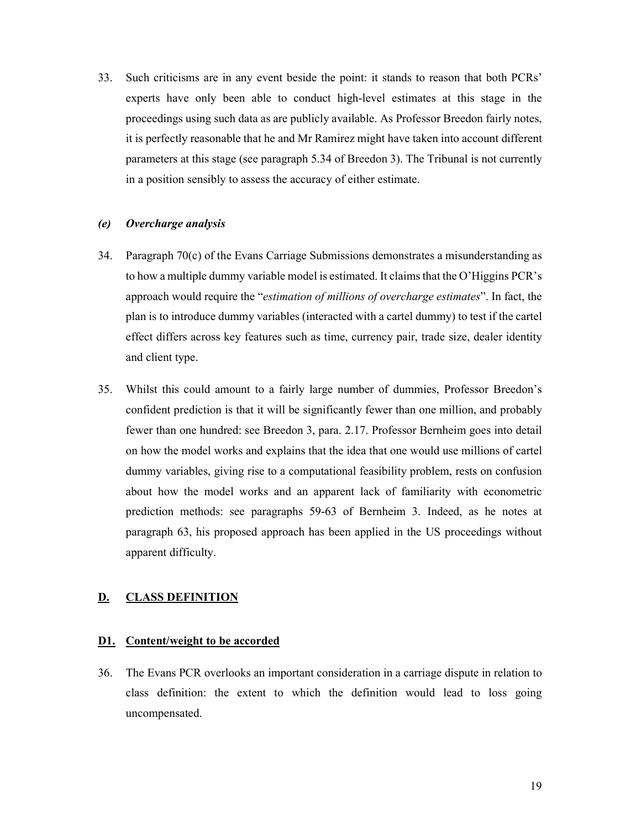33. Such criticisms are in any event beside the point: it stands to reason that both PCRs' experts have only been able to conduct high-level estimates at this stage in the proceedings using such data as are publicly available. As Professor Breedon fairly notes, it is perfectly reasonable that he and Mr Ramirez might have taken into account different parameters at this stage (see paragraph 5.34 of Breedon 3). The Tribunal is not currently in a position sensibly to assess the accuracy of either estimate.

### *(e) Overcharge analysis*

- 34. Paragraph 70(c) of the Evans Carriage Submissions demonstrates a misunderstanding as to how a multiple dummy variable model is estimated. It claims that the O'Higgins PCR's approach would require the "*estimation of millions of overcharge estimates*". In fact, the plan is to introduce dummy variables (interacted with a cartel dummy) to test if the cartel effect differs across key features such as time, currency pair, trade size, dealer identity and client type.
- 35. Whilst this could amount to a fairly large number of dummies, Professor Breedon's confident prediction is that it will be significantly fewer than one million, and probably fewer than one hundred: see Breedon 3, para. 2.17. Professor Bernheim goes into detail on how the model works and explains that the idea that one would use millions of cartel dummy variables, giving rise to a computational feasibility problem, rests on confusion about how the model works and an apparent lack of familiarity with econometric prediction methods: see paragraphs 59-63 of Bernheim 3. Indeed, as he notes at paragraph 63, his proposed approach has been applied in the US proceedings without apparent difficulty.

### **D. CLASS DEFINITION**

### **D1. Content/weight to be accorded**

36. The Evans PCR overlooks an important consideration in a carriage dispute in relation to class definition: the extent to which the definition would lead to loss going uncompensated.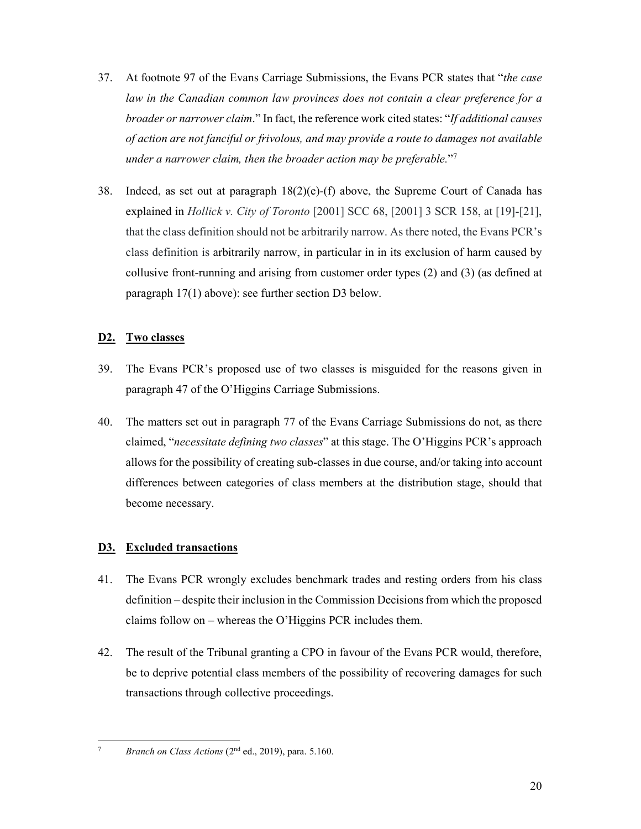- 37. At footnote 97 of the Evans Carriage Submissions, the Evans PCR states that "*the case*  law in the Canadian common law provinces does not contain a clear preference for a *broader or narrower claim*." In fact, the reference work cited states: "*If additional causes of action are not fanciful or frivolous, and may provide a route to damages not available under a narrower claim, then the broader action may be preferable.*"7
- 38. Indeed, as set out at paragraph  $18(2)(e)$ -(f) above, the Supreme Court of Canada has explained in *Hollick v. City of Toronto* [2001] SCC 68, [2001] 3 SCR 158, at [19]-[21], that the class definition should not be arbitrarily narrow. As there noted, the Evans PCR's class definition is arbitrarily narrow, in particular in in its exclusion of harm caused by collusive front-running and arising from customer order types (2) and (3) (as defined at paragraph 17(1) above): see further section D3 below.

## **D2. Two classes**

- 39. The Evans PCR's proposed use of two classes is misguided for the reasons given in paragraph 47 of the O'Higgins Carriage Submissions.
- 40. The matters set out in paragraph 77 of the Evans Carriage Submissions do not, as there claimed, "*necessitate defining two classes*" at this stage. The O'Higgins PCR's approach allows for the possibility of creating sub-classes in due course, and/or taking into account differences between categories of class members at the distribution stage, should that become necessary.

## **D3. Excluded transactions**

- 41. The Evans PCR wrongly excludes benchmark trades and resting orders from his class definition – despite their inclusion in the Commission Decisions from which the proposed claims follow on – whereas the O'Higgins PCR includes them.
- 42. The result of the Tribunal granting a CPO in favour of the Evans PCR would, therefore, be to deprive potential class members of the possibility of recovering damages for such transactions through collective proceedings.

<sup>1</sup> 7 *Branch on Class Actions* (2nd ed., 2019), para. 5.160.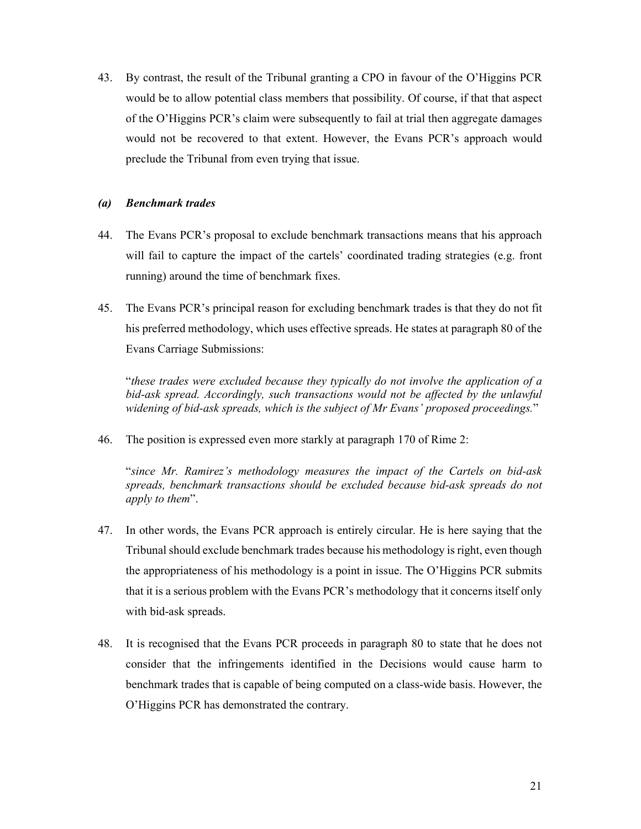43. By contrast, the result of the Tribunal granting a CPO in favour of the O'Higgins PCR would be to allow potential class members that possibility. Of course, if that that aspect of the O'Higgins PCR's claim were subsequently to fail at trial then aggregate damages would not be recovered to that extent. However, the Evans PCR's approach would preclude the Tribunal from even trying that issue.

## *(a) Benchmark trades*

- 44. The Evans PCR's proposal to exclude benchmark transactions means that his approach will fail to capture the impact of the cartels' coordinated trading strategies (e.g. front running) around the time of benchmark fixes.
- 45. The Evans PCR's principal reason for excluding benchmark trades is that they do not fit his preferred methodology, which uses effective spreads. He states at paragraph 80 of the Evans Carriage Submissions:

"*these trades were excluded because they typically do not involve the application of a*  bid-ask spread. Accordingly, such transactions would not be affected by the unlawful *widening of bid-ask spreads, which is the subject of Mr Evans' proposed proceedings.*"

46. The position is expressed even more starkly at paragraph 170 of Rime 2:

"*since Mr. Ramirez's methodology measures the impact of the Cartels on bid-ask spreads, benchmark transactions should be excluded because bid-ask spreads do not apply to them*".

- 47. In other words, the Evans PCR approach is entirely circular. He is here saying that the Tribunal should exclude benchmark trades because his methodology is right, even though the appropriateness of his methodology is a point in issue. The O'Higgins PCR submits that it is a serious problem with the Evans PCR's methodology that it concerns itself only with bid-ask spreads.
- 48. It is recognised that the Evans PCR proceeds in paragraph 80 to state that he does not consider that the infringements identified in the Decisions would cause harm to benchmark trades that is capable of being computed on a class-wide basis. However, the O'Higgins PCR has demonstrated the contrary.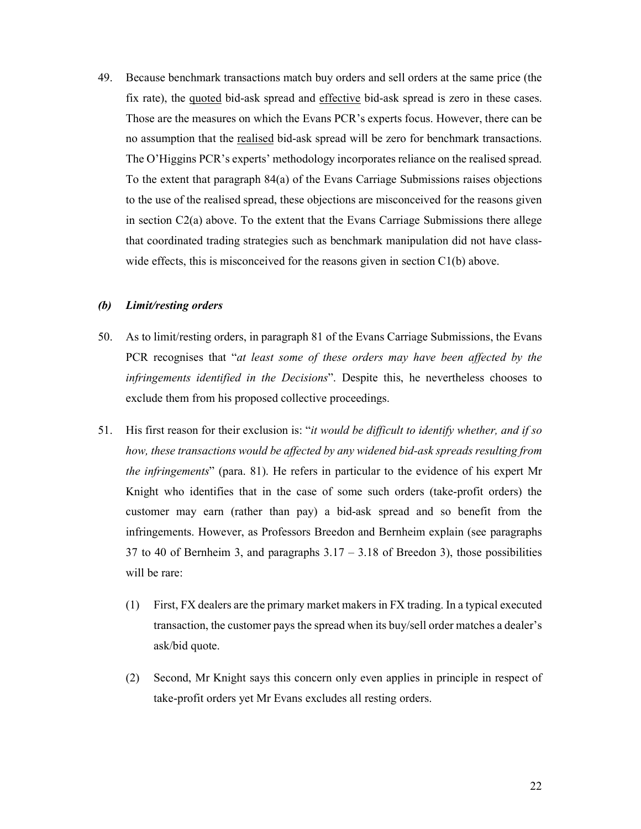49. Because benchmark transactions match buy orders and sell orders at the same price (the fix rate), the quoted bid-ask spread and effective bid-ask spread is zero in these cases. Those are the measures on which the Evans PCR's experts focus. However, there can be no assumption that the realised bid-ask spread will be zero for benchmark transactions. The O'Higgins PCR's experts' methodology incorporates reliance on the realised spread. To the extent that paragraph 84(a) of the Evans Carriage Submissions raises objections to the use of the realised spread, these objections are misconceived for the reasons given in section C2(a) above. To the extent that the Evans Carriage Submissions there allege that coordinated trading strategies such as benchmark manipulation did not have classwide effects, this is misconceived for the reasons given in section C1(b) above.

## *(b) Limit/resting orders*

- 50. As to limit/resting orders, in paragraph 81 of the Evans Carriage Submissions, the Evans PCR recognises that "*at least some of these orders may have been affected by the infringements identified in the Decisions*". Despite this, he nevertheless chooses to exclude them from his proposed collective proceedings.
- 51. His first reason for their exclusion is: "*it would be difficult to identify whether, and if so how, these transactions would be affected by any widened bid-ask spreads resulting from the infringements*" (para. 81). He refers in particular to the evidence of his expert Mr Knight who identifies that in the case of some such orders (take-profit orders) the customer may earn (rather than pay) a bid-ask spread and so benefit from the infringements. However, as Professors Breedon and Bernheim explain (see paragraphs 37 to 40 of Bernheim 3, and paragraphs 3.17 – 3.18 of Breedon 3), those possibilities will be rare:
	- (1) First, FX dealers are the primary market makers in FX trading. In a typical executed transaction, the customer pays the spread when its buy/sell order matches a dealer's ask/bid quote.
	- (2) Second, Mr Knight says this concern only even applies in principle in respect of take-profit orders yet Mr Evans excludes all resting orders.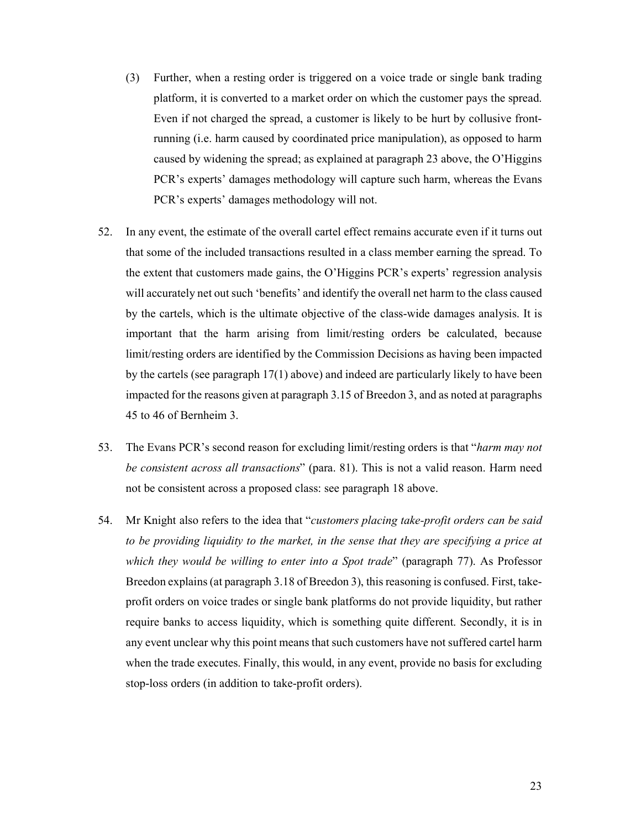- (3) Further, when a resting order is triggered on a voice trade or single bank trading platform, it is converted to a market order on which the customer pays the spread. Even if not charged the spread, a customer is likely to be hurt by collusive frontrunning (i.e. harm caused by coordinated price manipulation), as opposed to harm caused by widening the spread; as explained at paragraph 23 above, the O'Higgins PCR's experts' damages methodology will capture such harm, whereas the Evans PCR's experts' damages methodology will not.
- 52. In any event, the estimate of the overall cartel effect remains accurate even if it turns out that some of the included transactions resulted in a class member earning the spread. To the extent that customers made gains, the O'Higgins PCR's experts' regression analysis will accurately net out such 'benefits' and identify the overall net harm to the class caused by the cartels, which is the ultimate objective of the class-wide damages analysis. It is important that the harm arising from limit/resting orders be calculated, because limit/resting orders are identified by the Commission Decisions as having been impacted by the cartels (see paragraph 17(1) above) and indeed are particularly likely to have been impacted for the reasons given at paragraph 3.15 of Breedon 3, and as noted at paragraphs 45 to 46 of Bernheim 3.
- 53. The Evans PCR's second reason for excluding limit/resting orders is that "*harm may not be consistent across all transactions*" (para. 81). This is not a valid reason. Harm need not be consistent across a proposed class: see paragraph 18 above.
- 54. Mr Knight also refers to the idea that "*customers placing take-profit orders can be said to be providing liquidity to the market, in the sense that they are specifying a price at which they would be willing to enter into a Spot trade*" (paragraph 77). As Professor Breedon explains (at paragraph 3.18 of Breedon 3), this reasoning is confused. First, takeprofit orders on voice trades or single bank platforms do not provide liquidity, but rather require banks to access liquidity, which is something quite different. Secondly, it is in any event unclear why this point means that such customers have not suffered cartel harm when the trade executes. Finally, this would, in any event, provide no basis for excluding stop-loss orders (in addition to take-profit orders).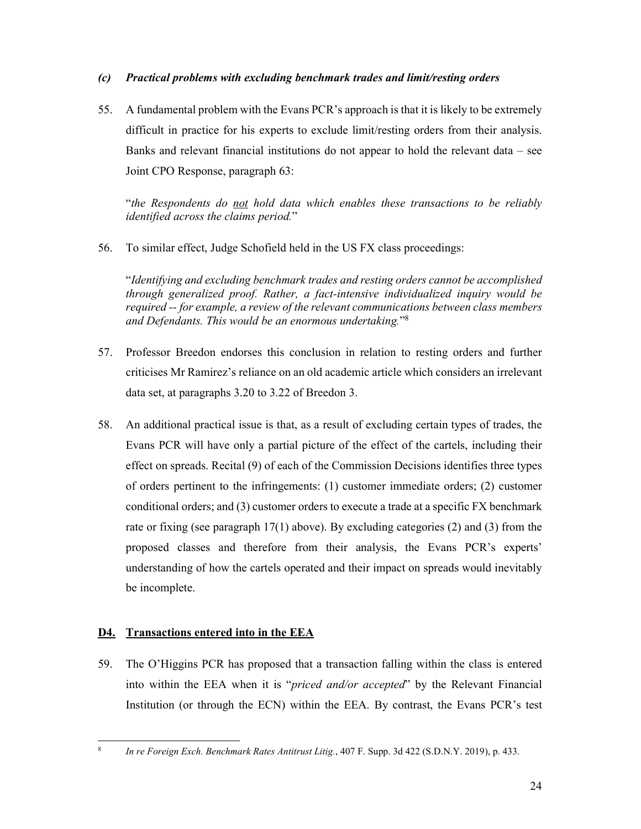# *(c) Practical problems with excluding benchmark trades and limit/resting orders*

55. A fundamental problem with the Evans PCR's approach is that it is likely to be extremely difficult in practice for his experts to exclude limit/resting orders from their analysis. Banks and relevant financial institutions do not appear to hold the relevant data – see Joint CPO Response, paragraph 63:

"*the Respondents do not hold data which enables these transactions to be reliably identified across the claims period.*"

56. To similar effect, Judge Schofield held in the US FX class proceedings:

"*Identifying and excluding benchmark trades and resting orders cannot be accomplished through generalized proof. Rather, a fact-intensive individualized inquiry would be required -- for example, a review of the relevant communications between class members and Defendants. This would be an enormous undertaking.*"8

- 57. Professor Breedon endorses this conclusion in relation to resting orders and further criticises Mr Ramirez's reliance on an old academic article which considers an irrelevant data set, at paragraphs 3.20 to 3.22 of Breedon 3.
- 58. An additional practical issue is that, as a result of excluding certain types of trades, the Evans PCR will have only a partial picture of the effect of the cartels, including their effect on spreads. Recital (9) of each of the Commission Decisions identifies three types of orders pertinent to the infringements: (1) customer immediate orders; (2) customer conditional orders; and (3) customer orders to execute a trade at a specific FX benchmark rate or fixing (see paragraph 17(1) above). By excluding categories (2) and (3) from the proposed classes and therefore from their analysis, the Evans PCR's experts' understanding of how the cartels operated and their impact on spreads would inevitably be incomplete.

# **D4. Transactions entered into in the EEA**

1 8

59. The O'Higgins PCR has proposed that a transaction falling within the class is entered into within the EEA when it is "*priced and/or accepted*" by the Relevant Financial Institution (or through the ECN) within the EEA. By contrast, the Evans PCR's test

*In re Foreign Exch. Benchmark Rates Antitrust Litig.*, 407 F. Supp. 3d 422 (S.D.N.Y. 2019), p. 433.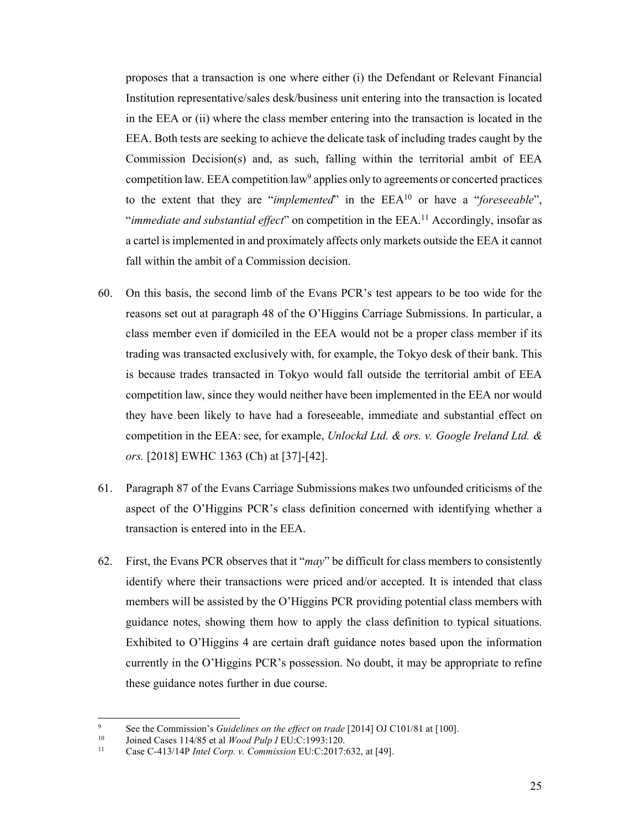proposes that a transaction is one where either (i) the Defendant or Relevant Financial Institution representative/sales desk/business unit entering into the transaction is located in the EEA or (ii) where the class member entering into the transaction is located in the EEA. Both tests are seeking to achieve the delicate task of including trades caught by the Commission Decision(s) and, as such, falling within the territorial ambit of EEA competition law. EEA competition law $9$  applies only to agreements or concerted practices to the extent that they are "*implemented*" in the EEA10 or have a "*foreseeable*", "*immediate and substantial effect*" on competition in the EEA.11 Accordingly, insofar as a cartel is implemented in and proximately affects only markets outside the EEA it cannot fall within the ambit of a Commission decision.

- 60. On this basis, the second limb of the Evans PCR's test appears to be too wide for the reasons set out at paragraph 48 of the O'Higgins Carriage Submissions. In particular, a class member even if domiciled in the EEA would not be a proper class member if its trading was transacted exclusively with, for example, the Tokyo desk of their bank. This is because trades transacted in Tokyo would fall outside the territorial ambit of EEA competition law, since they would neither have been implemented in the EEA nor would they have been likely to have had a foreseeable, immediate and substantial effect on competition in the EEA: see, for example, *Unlockd Ltd. & ors. v. Google Ireland Ltd. & ors.* [2018] EWHC 1363 (Ch) at [37]-[42].
- 61. Paragraph 87 of the Evans Carriage Submissions makes two unfounded criticisms of the aspect of the O'Higgins PCR's class definition concerned with identifying whether a transaction is entered into in the EEA.
- 62. First, the Evans PCR observes that it "*may*" be difficult for class members to consistently identify where their transactions were priced and/or accepted. It is intended that class members will be assisted by the O'Higgins PCR providing potential class members with guidance notes, showing them how to apply the class definition to typical situations. Exhibited to O'Higgins 4 are certain draft guidance notes based upon the information currently in the O'Higgins PCR's possession. No doubt, it may be appropriate to refine these guidance notes further in due course.

<sup>-&</sup>lt;br>9 <sup>9</sup> See the Commission's *Guidelines on the effect on trade* [2014] OJ C101/81 at [100].<br>
<sup>10</sup> Joined Cases 114/85 et al *Wood Pulp I* EU:C:1993:120.<br>
<sup>11</sup> Case C-413/14P *Intel Corp. v. Commission* EU:C:2017:632, at [49]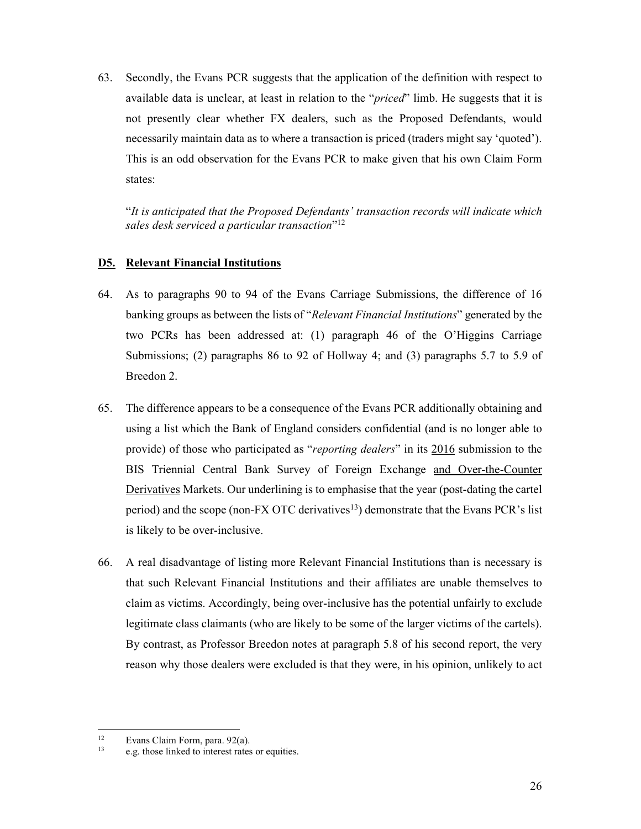63. Secondly, the Evans PCR suggests that the application of the definition with respect to available data is unclear, at least in relation to the "*priced*" limb. He suggests that it is not presently clear whether FX dealers, such as the Proposed Defendants, would necessarily maintain data as to where a transaction is priced (traders might say 'quoted'). This is an odd observation for the Evans PCR to make given that his own Claim Form states:

"*It is anticipated that the Proposed Defendants' transaction records will indicate which sales desk serviced a particular transaction*"12

## **D5. Relevant Financial Institutions**

- 64. As to paragraphs 90 to 94 of the Evans Carriage Submissions, the difference of 16 banking groups as between the lists of "*Relevant Financial Institutions*" generated by the two PCRs has been addressed at: (1) paragraph 46 of the O'Higgins Carriage Submissions; (2) paragraphs 86 to 92 of Hollway 4; and (3) paragraphs 5.7 to 5.9 of Breedon 2.
- 65. The difference appears to be a consequence of the Evans PCR additionally obtaining and using a list which the Bank of England considers confidential (and is no longer able to provide) of those who participated as "*reporting dealers*" in its 2016 submission to the BIS Triennial Central Bank Survey of Foreign Exchange and Over-the-Counter Derivatives Markets. Our underlining is to emphasise that the year (post-dating the cartel period) and the scope (non-FX OTC derivatives13) demonstrate that the Evans PCR's list is likely to be over-inclusive.
- 66. A real disadvantage of listing more Relevant Financial Institutions than is necessary is that such Relevant Financial Institutions and their affiliates are unable themselves to claim as victims. Accordingly, being over-inclusive has the potential unfairly to exclude legitimate class claimants (who are likely to be some of the larger victims of the cartels). By contrast, as Professor Breedon notes at paragraph 5.8 of his second report, the very reason why those dealers were excluded is that they were, in his opinion, unlikely to act

 $12$ <sup>12</sup> Evans Claim Form, para. 92(a).

e.g. those linked to interest rates or equities.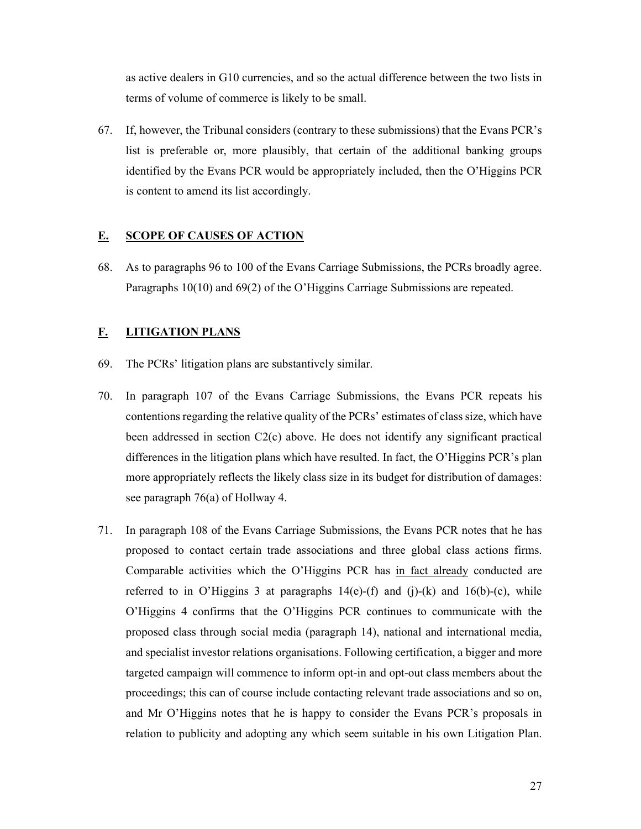as active dealers in G10 currencies, and so the actual difference between the two lists in terms of volume of commerce is likely to be small.

67. If, however, the Tribunal considers (contrary to these submissions) that the Evans PCR's list is preferable or, more plausibly, that certain of the additional banking groups identified by the Evans PCR would be appropriately included, then the O'Higgins PCR is content to amend its list accordingly.

## **E. SCOPE OF CAUSES OF ACTION**

68. As to paragraphs 96 to 100 of the Evans Carriage Submissions, the PCRs broadly agree. Paragraphs 10(10) and 69(2) of the O'Higgins Carriage Submissions are repeated.

## **F. LITIGATION PLANS**

- 69. The PCRs' litigation plans are substantively similar.
- 70. In paragraph 107 of the Evans Carriage Submissions, the Evans PCR repeats his contentions regarding the relative quality of the PCRs' estimates of class size, which have been addressed in section C2(c) above. He does not identify any significant practical differences in the litigation plans which have resulted. In fact, the O'Higgins PCR's plan more appropriately reflects the likely class size in its budget for distribution of damages: see paragraph 76(a) of Hollway 4.
- 71. In paragraph 108 of the Evans Carriage Submissions, the Evans PCR notes that he has proposed to contact certain trade associations and three global class actions firms. Comparable activities which the O'Higgins PCR has in fact already conducted are referred to in O'Higgins 3 at paragraphs  $14(e)$ -(f) and (j)-(k) and  $16(b)$ -(c), while O'Higgins 4 confirms that the O'Higgins PCR continues to communicate with the proposed class through social media (paragraph 14), national and international media, and specialist investor relations organisations. Following certification, a bigger and more targeted campaign will commence to inform opt-in and opt-out class members about the proceedings; this can of course include contacting relevant trade associations and so on, and Mr O'Higgins notes that he is happy to consider the Evans PCR's proposals in relation to publicity and adopting any which seem suitable in his own Litigation Plan.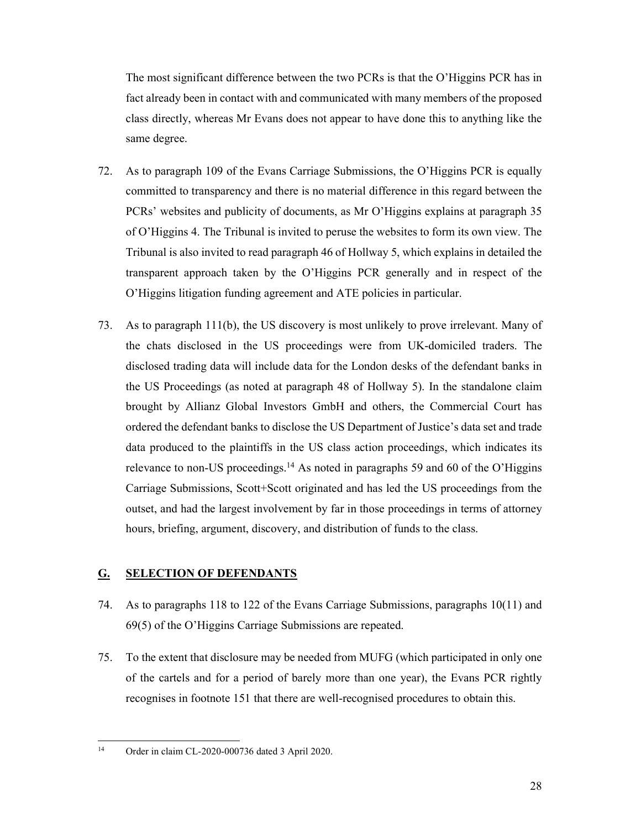The most significant difference between the two PCRs is that the O'Higgins PCR has in fact already been in contact with and communicated with many members of the proposed class directly, whereas Mr Evans does not appear to have done this to anything like the same degree.

- 72. As to paragraph 109 of the Evans Carriage Submissions, the O'Higgins PCR is equally committed to transparency and there is no material difference in this regard between the PCRs' websites and publicity of documents, as Mr O'Higgins explains at paragraph 35 of O'Higgins 4. The Tribunal is invited to peruse the websites to form its own view. The Tribunal is also invited to read paragraph 46 of Hollway 5, which explains in detailed the transparent approach taken by the O'Higgins PCR generally and in respect of the O'Higgins litigation funding agreement and ATE policies in particular.
- 73. As to paragraph 111(b), the US discovery is most unlikely to prove irrelevant. Many of the chats disclosed in the US proceedings were from UK-domiciled traders. The disclosed trading data will include data for the London desks of the defendant banks in the US Proceedings (as noted at paragraph 48 of Hollway 5). In the standalone claim brought by Allianz Global Investors GmbH and others, the Commercial Court has ordered the defendant banks to disclose the US Department of Justice's data set and trade data produced to the plaintiffs in the US class action proceedings, which indicates its relevance to non-US proceedings.<sup>14</sup> As noted in paragraphs 59 and 60 of the O'Higgins Carriage Submissions, Scott+Scott originated and has led the US proceedings from the outset, and had the largest involvement by far in those proceedings in terms of attorney hours, briefing, argument, discovery, and distribution of funds to the class.

## **G. SELECTION OF DEFENDANTS**

- 74. As to paragraphs 118 to 122 of the Evans Carriage Submissions, paragraphs 10(11) and 69(5) of the O'Higgins Carriage Submissions are repeated.
- 75. To the extent that disclosure may be needed from MUFG (which participated in only one of the cartels and for a period of barely more than one year), the Evans PCR rightly recognises in footnote 151 that there are well-recognised procedures to obtain this.

 $14$ Order in claim CL-2020-000736 dated 3 April 2020.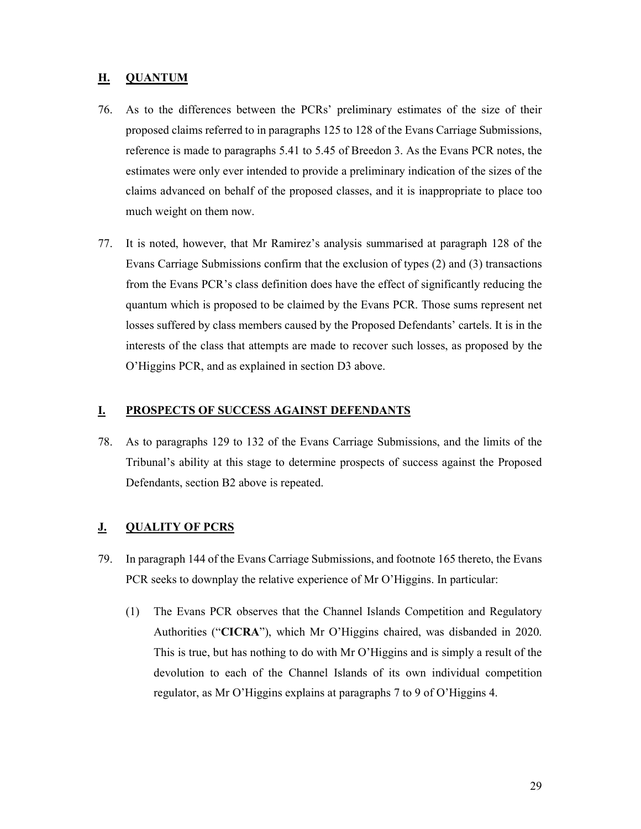## **H. QUANTUM**

- 76. As to the differences between the PCRs' preliminary estimates of the size of their proposed claims referred to in paragraphs 125 to 128 of the Evans Carriage Submissions, reference is made to paragraphs 5.41 to 5.45 of Breedon 3. As the Evans PCR notes, the estimates were only ever intended to provide a preliminary indication of the sizes of the claims advanced on behalf of the proposed classes, and it is inappropriate to place too much weight on them now.
- 77. It is noted, however, that Mr Ramirez's analysis summarised at paragraph 128 of the Evans Carriage Submissions confirm that the exclusion of types (2) and (3) transactions from the Evans PCR's class definition does have the effect of significantly reducing the quantum which is proposed to be claimed by the Evans PCR. Those sums represent net losses suffered by class members caused by the Proposed Defendants' cartels. It is in the interests of the class that attempts are made to recover such losses, as proposed by the O'Higgins PCR, and as explained in section D3 above.

## **I. PROSPECTS OF SUCCESS AGAINST DEFENDANTS**

78. As to paragraphs 129 to 132 of the Evans Carriage Submissions, and the limits of the Tribunal's ability at this stage to determine prospects of success against the Proposed Defendants, section B2 above is repeated.

## **J. QUALITY OF PCRS**

- 79. In paragraph 144 of the Evans Carriage Submissions, and footnote 165 thereto, the Evans PCR seeks to downplay the relative experience of Mr O'Higgins. In particular:
	- (1) The Evans PCR observes that the Channel Islands Competition and Regulatory Authorities ("**CICRA**"), which Mr O'Higgins chaired, was disbanded in 2020. This is true, but has nothing to do with Mr O'Higgins and is simply a result of the devolution to each of the Channel Islands of its own individual competition regulator, as Mr O'Higgins explains at paragraphs 7 to 9 of O'Higgins 4.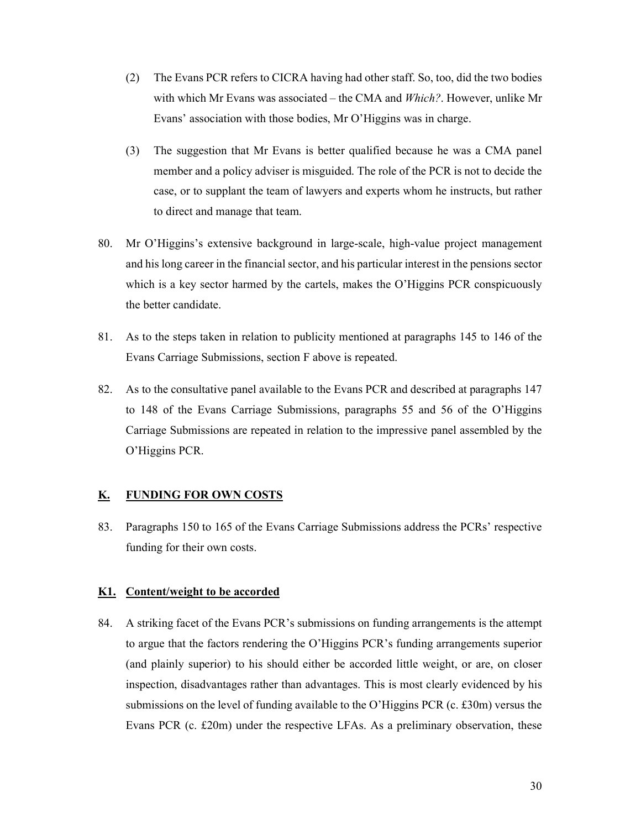- (2) The Evans PCR refers to CICRA having had other staff. So, too, did the two bodies with which Mr Evans was associated – the CMA and *Which?*. However, unlike Mr Evans' association with those bodies, Mr O'Higgins was in charge.
- (3) The suggestion that Mr Evans is better qualified because he was a CMA panel member and a policy adviser is misguided. The role of the PCR is not to decide the case, or to supplant the team of lawyers and experts whom he instructs, but rather to direct and manage that team.
- 80. Mr O'Higgins's extensive background in large-scale, high-value project management and his long career in the financial sector, and his particular interest in the pensions sector which is a key sector harmed by the cartels, makes the O'Higgins PCR conspicuously the better candidate.
- 81. As to the steps taken in relation to publicity mentioned at paragraphs 145 to 146 of the Evans Carriage Submissions, section F above is repeated.
- 82. As to the consultative panel available to the Evans PCR and described at paragraphs 147 to 148 of the Evans Carriage Submissions, paragraphs 55 and 56 of the O'Higgins Carriage Submissions are repeated in relation to the impressive panel assembled by the O'Higgins PCR.

## **K. FUNDING FOR OWN COSTS**

83. Paragraphs 150 to 165 of the Evans Carriage Submissions address the PCRs' respective funding for their own costs.

### **K1. Content/weight to be accorded**

84. A striking facet of the Evans PCR's submissions on funding arrangements is the attempt to argue that the factors rendering the O'Higgins PCR's funding arrangements superior (and plainly superior) to his should either be accorded little weight, or are, on closer inspection, disadvantages rather than advantages. This is most clearly evidenced by his submissions on the level of funding available to the O'Higgins PCR (c. £30m) versus the Evans PCR (c. £20m) under the respective LFAs. As a preliminary observation, these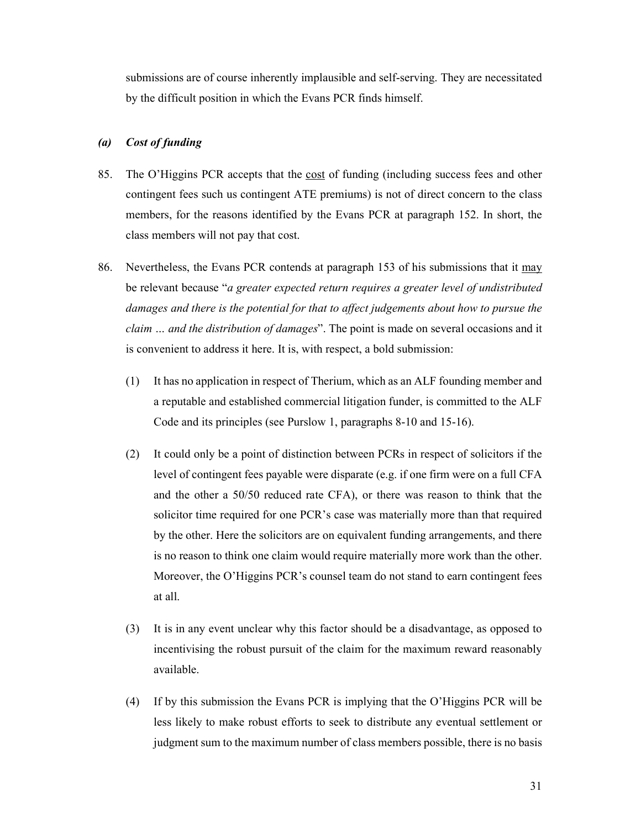submissions are of course inherently implausible and self-serving. They are necessitated by the difficult position in which the Evans PCR finds himself.

### *(a) Cost of funding*

- 85. The O'Higgins PCR accepts that the cost of funding (including success fees and other contingent fees such us contingent ATE premiums) is not of direct concern to the class members, for the reasons identified by the Evans PCR at paragraph 152. In short, the class members will not pay that cost.
- 86. Nevertheless, the Evans PCR contends at paragraph 153 of his submissions that it may be relevant because "*a greater expected return requires a greater level of undistributed*  damages and there is the potential for that to affect judgements about how to pursue the *claim … and the distribution of damages*". The point is made on several occasions and it is convenient to address it here. It is, with respect, a bold submission:
	- (1) It has no application in respect of Therium, which as an ALF founding member and a reputable and established commercial litigation funder, is committed to the ALF Code and its principles (see Purslow 1, paragraphs 8-10 and 15-16).
	- (2) It could only be a point of distinction between PCRs in respect of solicitors if the level of contingent fees payable were disparate (e.g. if one firm were on a full CFA and the other a 50/50 reduced rate CFA), or there was reason to think that the solicitor time required for one PCR's case was materially more than that required by the other. Here the solicitors are on equivalent funding arrangements, and there is no reason to think one claim would require materially more work than the other. Moreover, the O'Higgins PCR's counsel team do not stand to earn contingent fees at all.
	- (3) It is in any event unclear why this factor should be a disadvantage, as opposed to incentivising the robust pursuit of the claim for the maximum reward reasonably available.
	- (4) If by this submission the Evans PCR is implying that the O'Higgins PCR will be less likely to make robust efforts to seek to distribute any eventual settlement or judgment sum to the maximum number of class members possible, there is no basis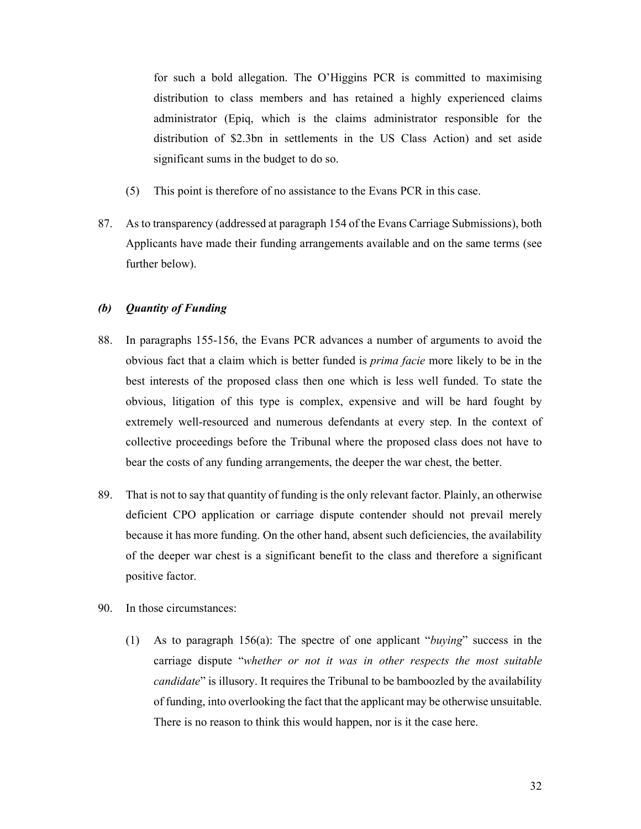for such a bold allegation. The O'Higgins PCR is committed to maximising distribution to class members and has retained a highly experienced claims administrator (Epiq, which is the claims administrator responsible for the distribution of \$2.3bn in settlements in the US Class Action) and set aside significant sums in the budget to do so.

- (5) This point is therefore of no assistance to the Evans PCR in this case.
- 87. As to transparency (addressed at paragraph 154 of the Evans Carriage Submissions), both Applicants have made their funding arrangements available and on the same terms (see further below).

### *(b) Quantity of Funding*

- 88. In paragraphs 155-156, the Evans PCR advances a number of arguments to avoid the obvious fact that a claim which is better funded is *prima facie* more likely to be in the best interests of the proposed class then one which is less well funded. To state the obvious, litigation of this type is complex, expensive and will be hard fought by extremely well-resourced and numerous defendants at every step. In the context of collective proceedings before the Tribunal where the proposed class does not have to bear the costs of any funding arrangements, the deeper the war chest, the better.
- 89. That is not to say that quantity of funding is the only relevant factor. Plainly, an otherwise deficient CPO application or carriage dispute contender should not prevail merely because it has more funding. On the other hand, absent such deficiencies, the availability of the deeper war chest is a significant benefit to the class and therefore a significant positive factor.
- 90. In those circumstances:
	- (1) As to paragraph 156(a): The spectre of one applicant "*buying*" success in the carriage dispute "*whether or not it was in other respects the most suitable candidate*" is illusory. It requires the Tribunal to be bamboozled by the availability of funding, into overlooking the fact that the applicant may be otherwise unsuitable. There is no reason to think this would happen, nor is it the case here.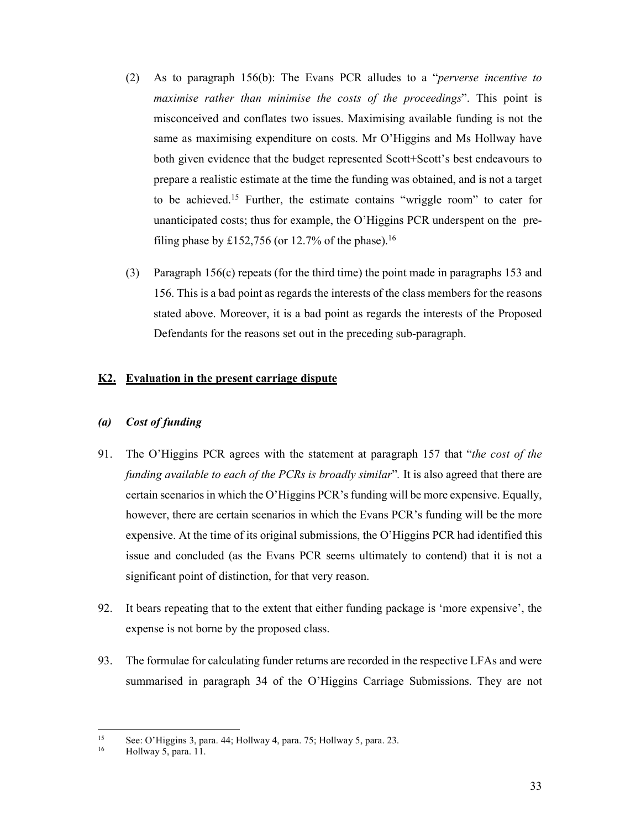- (2) As to paragraph 156(b): The Evans PCR alludes to a "*perverse incentive to maximise rather than minimise the costs of the proceedings*". This point is misconceived and conflates two issues. Maximising available funding is not the same as maximising expenditure on costs. Mr O'Higgins and Ms Hollway have both given evidence that the budget represented Scott+Scott's best endeavours to prepare a realistic estimate at the time the funding was obtained, and is not a target to be achieved.15 Further, the estimate contains "wriggle room" to cater for unanticipated costs; thus for example, the O'Higgins PCR underspent on the prefiling phase by £152,756 (or 12.7% of the phase).<sup>16</sup>
- (3) Paragraph 156(c) repeats (for the third time) the point made in paragraphs 153 and 156. This is a bad point as regards the interests of the class members for the reasons stated above. Moreover, it is a bad point as regards the interests of the Proposed Defendants for the reasons set out in the preceding sub-paragraph.

## **K2. Evaluation in the present carriage dispute**

## *(a) Cost of funding*

- 91. The O'Higgins PCR agrees with the statement at paragraph 157 that "*the cost of the funding available to each of the PCRs is broadly similar*"*.* It is also agreed that there are certain scenarios in which the O'Higgins PCR's funding will be more expensive. Equally, however, there are certain scenarios in which the Evans PCR's funding will be the more expensive. At the time of its original submissions, the O'Higgins PCR had identified this issue and concluded (as the Evans PCR seems ultimately to contend) that it is not a significant point of distinction, for that very reason.
- 92. It bears repeating that to the extent that either funding package is 'more expensive', the expense is not borne by the proposed class.
- 93. The formulae for calculating funder returns are recorded in the respective LFAs and were summarised in paragraph 34 of the O'Higgins Carriage Submissions. They are not

 $15$ See: O'Higgins 3, para. 44; Hollway 4, para. 75; Hollway 5, para. 23. Hollway 5, para. 11.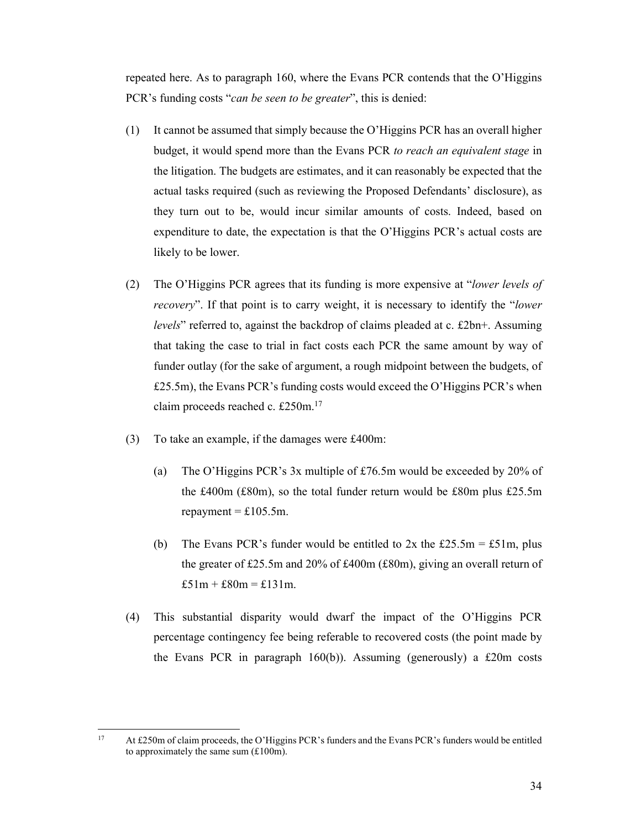repeated here. As to paragraph 160, where the Evans PCR contends that the O'Higgins PCR's funding costs "*can be seen to be greater*", this is denied:

- (1) It cannot be assumed that simply because the O'Higgins PCR has an overall higher budget, it would spend more than the Evans PCR *to reach an equivalent stage* in the litigation. The budgets are estimates, and it can reasonably be expected that the actual tasks required (such as reviewing the Proposed Defendants' disclosure), as they turn out to be, would incur similar amounts of costs. Indeed, based on expenditure to date, the expectation is that the O'Higgins PCR's actual costs are likely to be lower.
- (2) The O'Higgins PCR agrees that its funding is more expensive at "*lower levels of recovery*". If that point is to carry weight, it is necessary to identify the "*lower levels*" referred to, against the backdrop of claims pleaded at c. £2bn+. Assuming that taking the case to trial in fact costs each PCR the same amount by way of funder outlay (for the sake of argument, a rough midpoint between the budgets, of £25.5m), the Evans PCR's funding costs would exceed the O'Higgins PCR's when claim proceeds reached c. £250m.17
- (3) To take an example, if the damages were £400m:
	- (a) The O'Higgins PCR's 3x multiple of £76.5m would be exceeded by 20% of the £400m (£80m), so the total funder return would be £80m plus £25.5m repayment =  $£105.5m$ .
	- (b) The Evans PCR's funder would be entitled to  $2x$  the £25.5m = £51m, plus the greater of £25.5m and 20% of £400m (£80m), giving an overall return of £51m + £80m = £131m.
- (4) This substantial disparity would dwarf the impact of the O'Higgins PCR percentage contingency fee being referable to recovered costs (the point made by the Evans PCR in paragraph 160(b)). Assuming (generously) a £20m costs

 $17$ At £250m of claim proceeds, the O'Higgins PCR's funders and the Evans PCR's funders would be entitled to approximately the same sum  $(\text{\pounds}100\text{m})$ .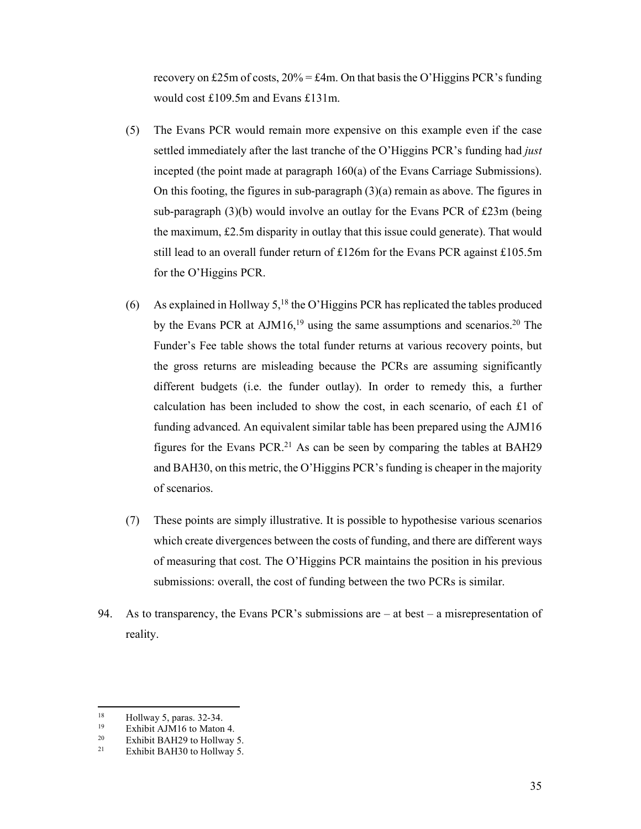recovery on £25m of costs,  $20\% = \text{\pounds}4m$ . On that basis the O'Higgins PCR's funding would cost £109.5m and Evans £131m.

- (5) The Evans PCR would remain more expensive on this example even if the case settled immediately after the last tranche of the O'Higgins PCR's funding had *just* incepted (the point made at paragraph 160(a) of the Evans Carriage Submissions). On this footing, the figures in sub-paragraph  $(3)(a)$  remain as above. The figures in sub-paragraph (3)(b) would involve an outlay for the Evans PCR of £23m (being the maximum, £2.5m disparity in outlay that this issue could generate). That would still lead to an overall funder return of £126m for the Evans PCR against £105.5m for the O'Higgins PCR.
- (6) As explained in Hollway 5,<sup>18</sup> the O'Higgins PCR has replicated the tables produced by the Evans PCR at  $AJM16$ ,<sup>19</sup> using the same assumptions and scenarios.<sup>20</sup> The Funder's Fee table shows the total funder returns at various recovery points, but the gross returns are misleading because the PCRs are assuming significantly different budgets (i.e. the funder outlay). In order to remedy this, a further calculation has been included to show the cost, in each scenario, of each £1 of funding advanced. An equivalent similar table has been prepared using the AJM16 figures for the Evans PCR.<sup>21</sup> As can be seen by comparing the tables at BAH29 and BAH30, on this metric, the O'Higgins PCR's funding is cheaper in the majority of scenarios.
- (7) These points are simply illustrative. It is possible to hypothesise various scenarios which create divergences between the costs of funding, and there are different ways of measuring that cost. The O'Higgins PCR maintains the position in his previous submissions: overall, the cost of funding between the two PCRs is similar.
- 94. As to transparency, the Evans PCR's submissions are  $-$  at best  $-$  a misrepresentation of reality.

<sup>18</sup> <sup>18</sup> Hollway 5, paras. 32-34.<br><sup>19</sup> Exhibit A IM16 to Mator

<sup>&</sup>lt;sup>19</sup> Exhibit AJM16 to Maton 4.<br><sup>20</sup> Exhibit PAH20 to Hollywy.

<sup>&</sup>lt;sup>20</sup> Exhibit BAH29 to Hollway 5.<br><sup>21</sup> Exhibit BAH20 to Hollway 5.

Exhibit BAH30 to Hollway 5.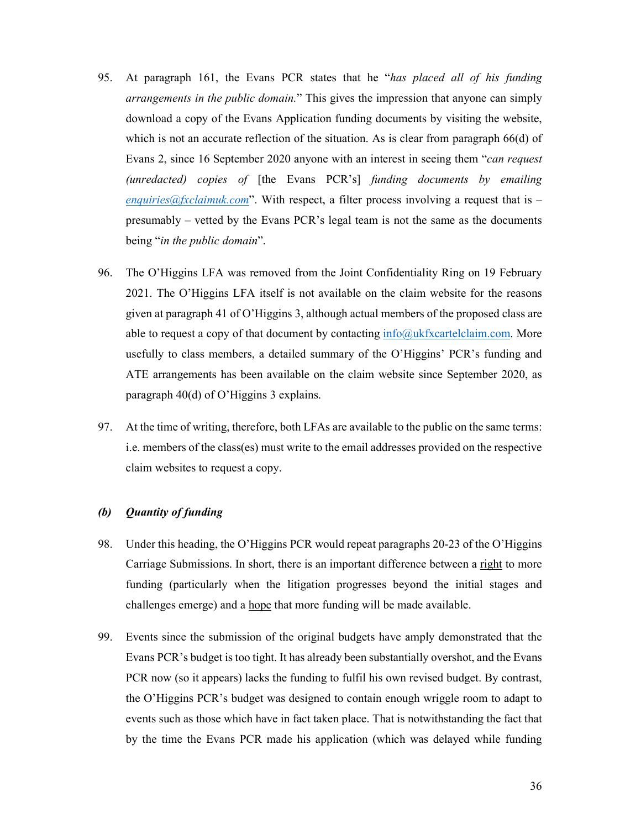- 95. At paragraph 161, the Evans PCR states that he "*has placed all of his funding arrangements in the public domain.*" This gives the impression that anyone can simply download a copy of the Evans Application funding documents by visiting the website, which is not an accurate reflection of the situation. As is clear from paragraph 66(d) of Evans 2, since 16 September 2020 anyone with an interest in seeing them "*can request (unredacted) copies of* [the Evans PCR's] *funding documents by emailing enquiries@fxclaimuk.com*". With respect, a filter process involving a request that is  $$ presumably – vetted by the Evans PCR's legal team is not the same as the documents being "*in the public domain*".
- 96. The O'Higgins LFA was removed from the Joint Confidentiality Ring on 19 February 2021. The O'Higgins LFA itself is not available on the claim website for the reasons given at paragraph 41 of O'Higgins 3, although actual members of the proposed class are able to request a copy of that document by contacting  $info@ukfxcartelclaim.com$ . More usefully to class members, a detailed summary of the O'Higgins' PCR's funding and ATE arrangements has been available on the claim website since September 2020, as paragraph 40(d) of O'Higgins 3 explains.
- 97. At the time of writing, therefore, both LFAs are available to the public on the same terms: i.e. members of the class(es) must write to the email addresses provided on the respective claim websites to request a copy.

## *(b) Quantity of funding*

- 98. Under this heading, the O'Higgins PCR would repeat paragraphs 20-23 of the O'Higgins Carriage Submissions. In short, there is an important difference between a right to more funding (particularly when the litigation progresses beyond the initial stages and challenges emerge) and a hope that more funding will be made available.
- 99. Events since the submission of the original budgets have amply demonstrated that the Evans PCR's budget is too tight. It has already been substantially overshot, and the Evans PCR now (so it appears) lacks the funding to fulfil his own revised budget. By contrast, the O'Higgins PCR's budget was designed to contain enough wriggle room to adapt to events such as those which have in fact taken place. That is notwithstanding the fact that by the time the Evans PCR made his application (which was delayed while funding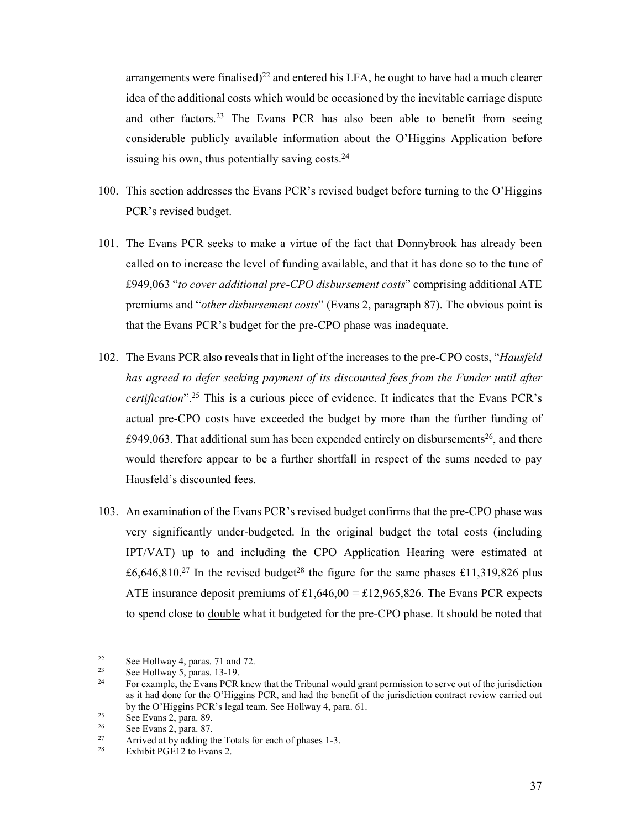arrangements were finalised)<sup>22</sup> and entered his LFA, he ought to have had a much clearer idea of the additional costs which would be occasioned by the inevitable carriage dispute and other factors.<sup>23</sup> The Evans PCR has also been able to benefit from seeing considerable publicly available information about the O'Higgins Application before issuing his own, thus potentially saving costs. $24$ 

- 100. This section addresses the Evans PCR's revised budget before turning to the O'Higgins PCR's revised budget.
- 101. The Evans PCR seeks to make a virtue of the fact that Donnybrook has already been called on to increase the level of funding available, and that it has done so to the tune of £949,063 "*to cover additional pre-CPO disbursement costs*" comprising additional ATE premiums and "*other disbursement costs*" (Evans 2, paragraph 87). The obvious point is that the Evans PCR's budget for the pre-CPO phase was inadequate.
- 102. The Evans PCR also reveals that in light of the increases to the pre-CPO costs, "*Hausfeld*  has agreed to defer seeking payment of its discounted fees from the Funder until after *certification*".25 This is a curious piece of evidence. It indicates that the Evans PCR's actual pre-CPO costs have exceeded the budget by more than the further funding of £949,063. That additional sum has been expended entirely on disbursements<sup>26</sup>, and there would therefore appear to be a further shortfall in respect of the sums needed to pay Hausfeld's discounted fees.
- 103. An examination of the Evans PCR's revised budget confirms that the pre-CPO phase was very significantly under-budgeted. In the original budget the total costs (including IPT/VAT) up to and including the CPO Application Hearing were estimated at £6,646,810.<sup>27</sup> In the revised budget<sup>28</sup> the figure for the same phases £11,319,826 plus ATE insurance deposit premiums of  $£1,646,00 = £12,965,826$ . The Evans PCR expects to spend close to <u>double</u> what it budgeted for the pre-CPO phase. It should be noted that

<sup>22</sup> <sup>22</sup> See Hollway 4, paras. 71 and 72.<br><sup>23</sup> See Hollway 5, name,  $12, 10$ 

<sup>&</sup>lt;sup>23</sup> See Hollway 5, paras. 13-19.<br><sup>24</sup> Eor example, the Evans PCR

<sup>24</sup> For example, the Evans PCR knew that the Tribunal would grant permission to serve out of the jurisdiction as it had done for the O'Higgins PCR, and had the benefit of the jurisdiction contract review carried out by the O'Higgins PCR's legal team. See Hollway 4, para. 61.<br>
See Evans 2, para. 89.<br>
See Evans 2, para. 87

 $\frac{26}{27}$  See Evans 2, para. 87.

<sup>27</sup> Arrived at by adding the Totals for each of phases 1-3.<br>  $28 \quad \text{Fwhithit PCE12 to Evone 2}$ 

Exhibit PGE12 to Evans 2.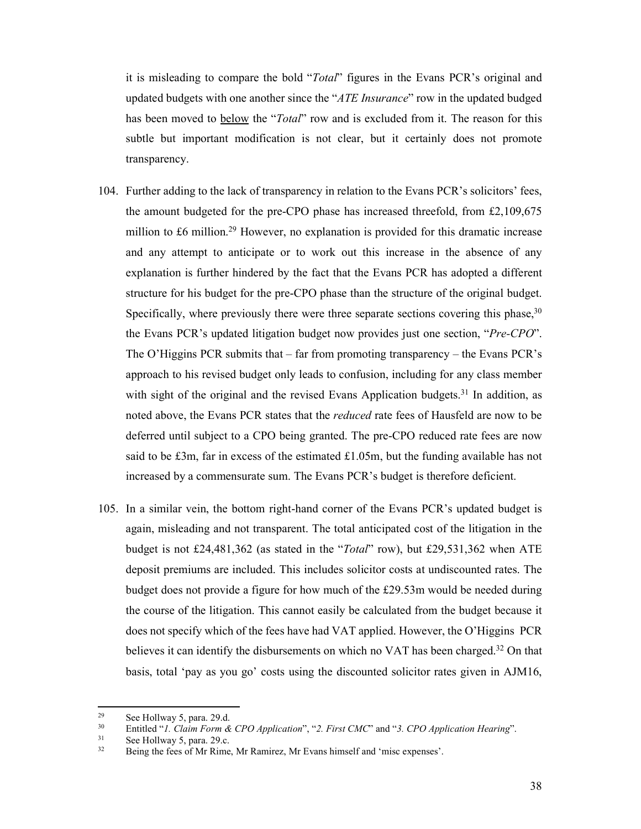it is misleading to compare the bold "*Total*" figures in the Evans PCR's original and updated budgets with one another since the "*ATE Insurance*" row in the updated budged has been moved to below the "*Total*" row and is excluded from it. The reason for this subtle but important modification is not clear, but it certainly does not promote transparency.

- 104. Further adding to the lack of transparency in relation to the Evans PCR's solicitors' fees, the amount budgeted for the pre-CPO phase has increased threefold, from £2,109,675 million to £6 million.<sup>29</sup> However, no explanation is provided for this dramatic increase and any attempt to anticipate or to work out this increase in the absence of any explanation is further hindered by the fact that the Evans PCR has adopted a different structure for his budget for the pre-CPO phase than the structure of the original budget. Specifically, where previously there were three separate sections covering this phase,  $30$ the Evans PCR's updated litigation budget now provides just one section, "*Pre-CPO*". The O'Higgins PCR submits that – far from promoting transparency – the Evans PCR's approach to his revised budget only leads to confusion, including for any class member with sight of the original and the revised Evans Application budgets.<sup>31</sup> In addition, as noted above, the Evans PCR states that the *reduced* rate fees of Hausfeld are now to be deferred until subject to a CPO being granted. The pre-CPO reduced rate fees are now said to be £3m, far in excess of the estimated £1.05m, but the funding available has not increased by a commensurate sum. The Evans PCR's budget is therefore deficient.
- 105. In a similar vein, the bottom right-hand corner of the Evans PCR's updated budget is again, misleading and not transparent. The total anticipated cost of the litigation in the budget is not £24,481,362 (as stated in the "*Total*" row), but £29,531,362 when ATE deposit premiums are included. This includes solicitor costs at undiscounted rates. The budget does not provide a figure for how much of the £29.53m would be needed during the course of the litigation. This cannot easily be calculated from the budget because it does not specify which of the fees have had VAT applied. However, the O'Higgins PCR believes it can identify the disbursements on which no VAT has been charged.<sup>32</sup> On that basis, total 'pay as you go' costs using the discounted solicitor rates given in AJM16,

<sup>29</sup> <sup>29</sup> See Hollway 5, para. 29.d.<br><sup>30</sup> Entitled "*L Claim Form &* 

<sup>&</sup>lt;sup>30</sup> Entitled "*1. Claim Form & CPO Application*", "*2. First CMC*" and "*3. CPO Application Hearing*".<br><sup>31</sup> See Hollway 5, para. 29.c.<br><sup>32</sup> Daing the foce of Mr Bime. Mr Bemires, Mr Exerc bimes!f and 'mise avrances'.

Being the fees of Mr Rime, Mr Ramirez, Mr Evans himself and 'misc expenses'.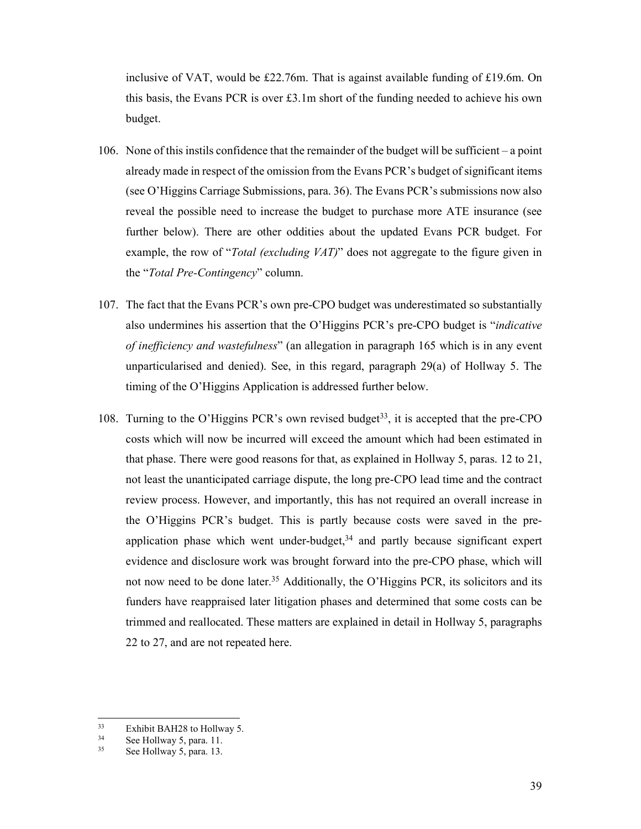inclusive of VAT, would be £22.76m. That is against available funding of £19.6m. On this basis, the Evans PCR is over £3.1m short of the funding needed to achieve his own budget.

- 106. None of this instils confidence that the remainder of the budget will be sufficient a point already made in respect of the omission from the Evans PCR's budget of significant items (see O'Higgins Carriage Submissions, para. 36). The Evans PCR's submissions now also reveal the possible need to increase the budget to purchase more ATE insurance (see further below). There are other oddities about the updated Evans PCR budget. For example, the row of "*Total (excluding VAT)*" does not aggregate to the figure given in the "*Total Pre-Contingency*" column.
- 107. The fact that the Evans PCR's own pre-CPO budget was underestimated so substantially also undermines his assertion that the O'Higgins PCR's pre-CPO budget is "*indicative of inefficiency and wastefulness*" (an allegation in paragraph 165 which is in any event unparticularised and denied). See, in this regard, paragraph 29(a) of Hollway 5. The timing of the O'Higgins Application is addressed further below.
- 108. Turning to the O'Higgins PCR's own revised budget<sup>33</sup>, it is accepted that the pre-CPO costs which will now be incurred will exceed the amount which had been estimated in that phase. There were good reasons for that, as explained in Hollway 5, paras. 12 to 21, not least the unanticipated carriage dispute, the long pre-CPO lead time and the contract review process. However, and importantly, this has not required an overall increase in the O'Higgins PCR's budget. This is partly because costs were saved in the preapplication phase which went under-budget, $34$  and partly because significant expert evidence and disclosure work was brought forward into the pre-CPO phase, which will not now need to be done later.<sup>35</sup> Additionally, the O'Higgins PCR, its solicitors and its funders have reappraised later litigation phases and determined that some costs can be trimmed and reallocated. These matters are explained in detail in Hollway 5, paragraphs 22 to 27, and are not repeated here.

 $33$  $\frac{33}{34}$  Exhibit BAH28 to Hollway 5.

 $34$  See Hollway 5, para. 11.<br> $35$  See Hollway 5, para. 12.

See Hollway 5, para. 13.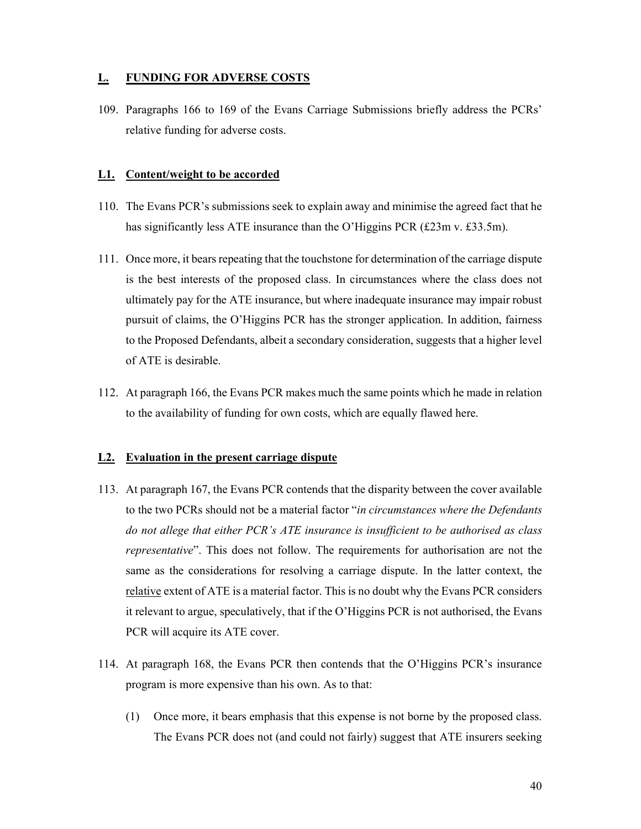## **L. FUNDING FOR ADVERSE COSTS**

109. Paragraphs 166 to 169 of the Evans Carriage Submissions briefly address the PCRs' relative funding for adverse costs.

### **L1. Content/weight to be accorded**

- 110. The Evans PCR's submissions seek to explain away and minimise the agreed fact that he has significantly less ATE insurance than the O'Higgins PCR (£23m v. £33.5m).
- 111. Once more, it bears repeating that the touchstone for determination of the carriage dispute is the best interests of the proposed class. In circumstances where the class does not ultimately pay for the ATE insurance, but where inadequate insurance may impair robust pursuit of claims, the O'Higgins PCR has the stronger application. In addition, fairness to the Proposed Defendants, albeit a secondary consideration, suggests that a higher level of ATE is desirable.
- 112. At paragraph 166, the Evans PCR makes much the same points which he made in relation to the availability of funding for own costs, which are equally flawed here.

### **L2. Evaluation in the present carriage dispute**

- 113. At paragraph 167, the Evans PCR contends that the disparity between the cover available to the two PCRs should not be a material factor "*in circumstances where the Defendants do not allege that either PCR's ATE insurance is insufficient to be authorised as class representative*". This does not follow. The requirements for authorisation are not the same as the considerations for resolving a carriage dispute. In the latter context, the relative extent of ATE is a material factor. This is no doubt why the Evans PCR considers it relevant to argue, speculatively, that if the O'Higgins PCR is not authorised, the Evans PCR will acquire its ATE cover.
- 114. At paragraph 168, the Evans PCR then contends that the O'Higgins PCR's insurance program is more expensive than his own. As to that:
	- (1) Once more, it bears emphasis that this expense is not borne by the proposed class. The Evans PCR does not (and could not fairly) suggest that ATE insurers seeking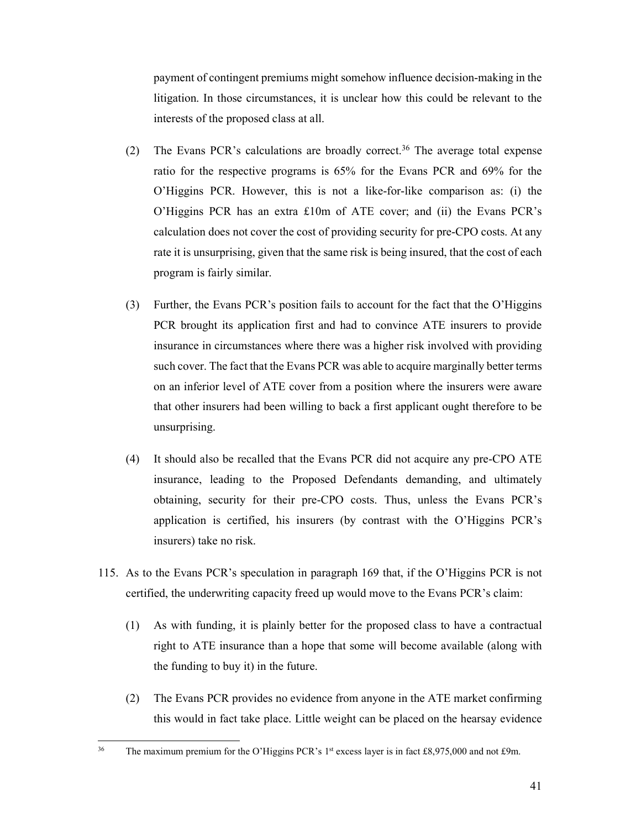payment of contingent premiums might somehow influence decision-making in the litigation. In those circumstances, it is unclear how this could be relevant to the interests of the proposed class at all.

- (2) The Evans PCR's calculations are broadly correct.<sup>36</sup> The average total expense ratio for the respective programs is 65% for the Evans PCR and 69% for the O'Higgins PCR. However, this is not a like-for-like comparison as: (i) the O'Higgins PCR has an extra £10m of ATE cover; and (ii) the Evans PCR's calculation does not cover the cost of providing security for pre-CPO costs. At any rate it is unsurprising, given that the same risk is being insured, that the cost of each program is fairly similar.
- (3) Further, the Evans PCR's position fails to account for the fact that the O'Higgins PCR brought its application first and had to convince ATE insurers to provide insurance in circumstances where there was a higher risk involved with providing such cover. The fact that the Evans PCR was able to acquire marginally better terms on an inferior level of ATE cover from a position where the insurers were aware that other insurers had been willing to back a first applicant ought therefore to be unsurprising.
- (4) It should also be recalled that the Evans PCR did not acquire any pre-CPO ATE insurance, leading to the Proposed Defendants demanding, and ultimately obtaining, security for their pre-CPO costs. Thus, unless the Evans PCR's application is certified, his insurers (by contrast with the O'Higgins PCR's insurers) take no risk.
- 115. As to the Evans PCR's speculation in paragraph 169 that, if the O'Higgins PCR is not certified, the underwriting capacity freed up would move to the Evans PCR's claim:
	- (1) As with funding, it is plainly better for the proposed class to have a contractual right to ATE insurance than a hope that some will become available (along with the funding to buy it) in the future.
	- (2) The Evans PCR provides no evidence from anyone in the ATE market confirming this would in fact take place. Little weight can be placed on the hearsay evidence

 $36$ The maximum premium for the O'Higgins PCR's 1<sup>st</sup> excess layer is in fact £8,975,000 and not £9m.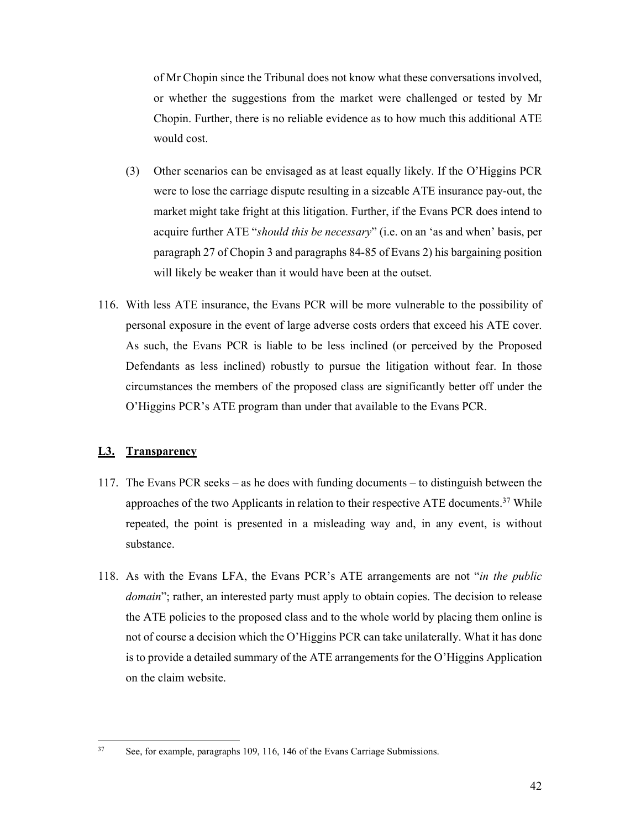of Mr Chopin since the Tribunal does not know what these conversations involved, or whether the suggestions from the market were challenged or tested by Mr Chopin. Further, there is no reliable evidence as to how much this additional ATE would cost.

- (3) Other scenarios can be envisaged as at least equally likely. If the O'Higgins PCR were to lose the carriage dispute resulting in a sizeable ATE insurance pay-out, the market might take fright at this litigation. Further, if the Evans PCR does intend to acquire further ATE "*should this be necessary*" (i.e. on an 'as and when' basis, per paragraph 27 of Chopin 3 and paragraphs 84-85 of Evans 2) his bargaining position will likely be weaker than it would have been at the outset.
- 116. With less ATE insurance, the Evans PCR will be more vulnerable to the possibility of personal exposure in the event of large adverse costs orders that exceed his ATE cover. As such, the Evans PCR is liable to be less inclined (or perceived by the Proposed Defendants as less inclined) robustly to pursue the litigation without fear. In those circumstances the members of the proposed class are significantly better off under the O'Higgins PCR's ATE program than under that available to the Evans PCR.

## **L3. Transparency**

 $37$ 

- 117. The Evans PCR seeks as he does with funding documents to distinguish between the approaches of the two Applicants in relation to their respective ATE documents.<sup>37</sup> While repeated, the point is presented in a misleading way and, in any event, is without substance.
- 118. As with the Evans LFA, the Evans PCR's ATE arrangements are not "*in the public domain*"; rather, an interested party must apply to obtain copies. The decision to release the ATE policies to the proposed class and to the whole world by placing them online is not of course a decision which the O'Higgins PCR can take unilaterally. What it has done is to provide a detailed summary of the ATE arrangements for the O'Higgins Application on the claim website.

See, for example, paragraphs 109, 116, 146 of the Evans Carriage Submissions.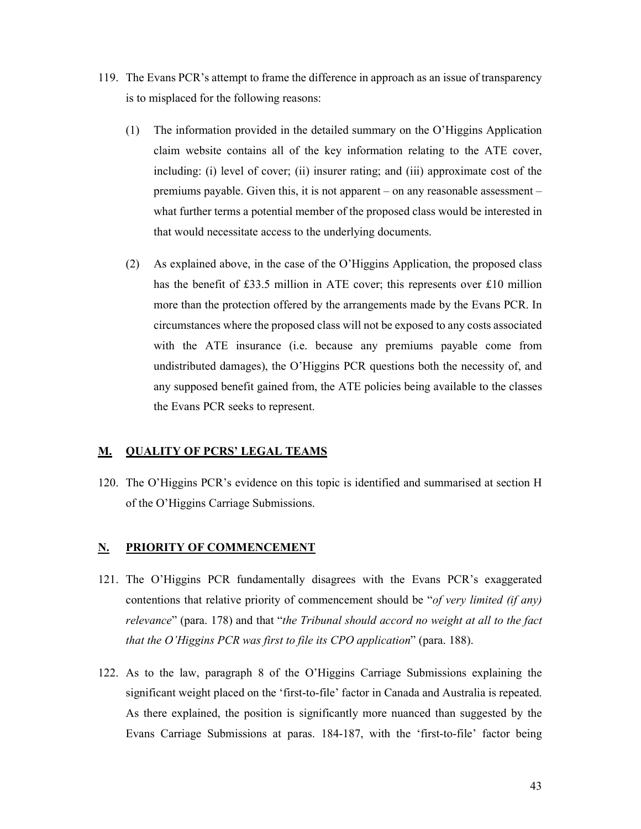- 119. The Evans PCR's attempt to frame the difference in approach as an issue of transparency is to misplaced for the following reasons:
	- (1) The information provided in the detailed summary on the O'Higgins Application claim website contains all of the key information relating to the ATE cover, including: (i) level of cover; (ii) insurer rating; and (iii) approximate cost of the premiums payable. Given this, it is not apparent – on any reasonable assessment – what further terms a potential member of the proposed class would be interested in that would necessitate access to the underlying documents.
	- (2) As explained above, in the case of the O'Higgins Application, the proposed class has the benefit of £33.5 million in ATE cover; this represents over £10 million more than the protection offered by the arrangements made by the Evans PCR. In circumstances where the proposed class will not be exposed to any costs associated with the ATE insurance (i.e. because any premiums payable come from undistributed damages), the O'Higgins PCR questions both the necessity of, and any supposed benefit gained from, the ATE policies being available to the classes the Evans PCR seeks to represent.

### **M. QUALITY OF PCRS' LEGAL TEAMS**

120. The O'Higgins PCR's evidence on this topic is identified and summarised at section H of the O'Higgins Carriage Submissions.

### **N. PRIORITY OF COMMENCEMENT**

- 121. The O'Higgins PCR fundamentally disagrees with the Evans PCR's exaggerated contentions that relative priority of commencement should be "*of very limited (if any) relevance*" (para. 178) and that "*the Tribunal should accord no weight at all to the fact that the O'Higgins PCR was first to file its CPO application*" (para. 188).
- 122. As to the law, paragraph 8 of the O'Higgins Carriage Submissions explaining the significant weight placed on the 'first-to-file' factor in Canada and Australia is repeated. As there explained, the position is significantly more nuanced than suggested by the Evans Carriage Submissions at paras. 184-187, with the 'first-to-file' factor being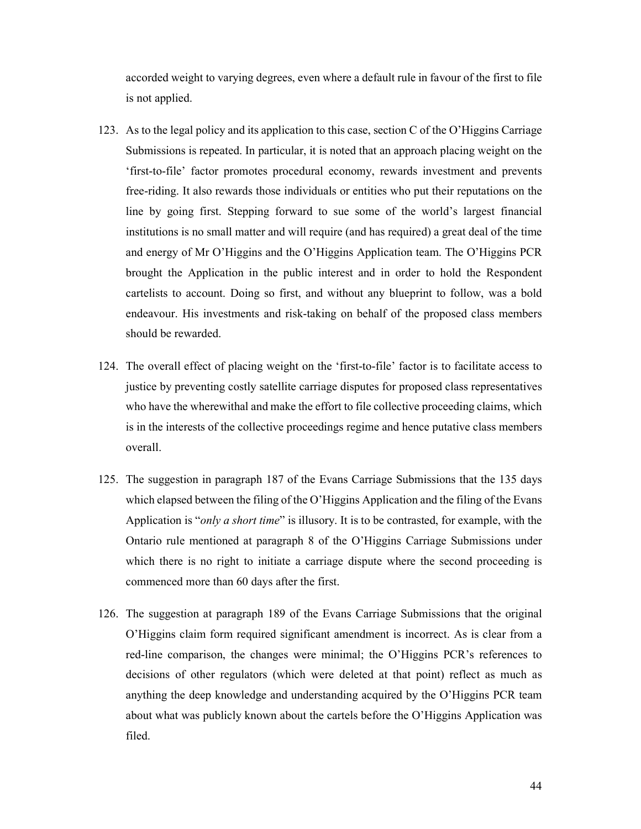accorded weight to varying degrees, even where a default rule in favour of the first to file is not applied.

- 123. As to the legal policy and its application to this case, section C of the O'Higgins Carriage Submissions is repeated. In particular, it is noted that an approach placing weight on the 'first-to-file' factor promotes procedural economy, rewards investment and prevents free-riding. It also rewards those individuals or entities who put their reputations on the line by going first. Stepping forward to sue some of the world's largest financial institutions is no small matter and will require (and has required) a great deal of the time and energy of Mr O'Higgins and the O'Higgins Application team. The O'Higgins PCR brought the Application in the public interest and in order to hold the Respondent cartelists to account. Doing so first, and without any blueprint to follow, was a bold endeavour. His investments and risk-taking on behalf of the proposed class members should be rewarded.
- 124. The overall effect of placing weight on the 'first-to-file' factor is to facilitate access to justice by preventing costly satellite carriage disputes for proposed class representatives who have the wherewithal and make the effort to file collective proceeding claims, which is in the interests of the collective proceedings regime and hence putative class members overall.
- 125. The suggestion in paragraph 187 of the Evans Carriage Submissions that the 135 days which elapsed between the filing of the O'Higgins Application and the filing of the Evans Application is "*only a short time*" is illusory. It is to be contrasted, for example, with the Ontario rule mentioned at paragraph 8 of the O'Higgins Carriage Submissions under which there is no right to initiate a carriage dispute where the second proceeding is commenced more than 60 days after the first.
- 126. The suggestion at paragraph 189 of the Evans Carriage Submissions that the original O'Higgins claim form required significant amendment is incorrect. As is clear from a red-line comparison, the changes were minimal; the O'Higgins PCR's references to decisions of other regulators (which were deleted at that point) reflect as much as anything the deep knowledge and understanding acquired by the O'Higgins PCR team about what was publicly known about the cartels before the O'Higgins Application was filed.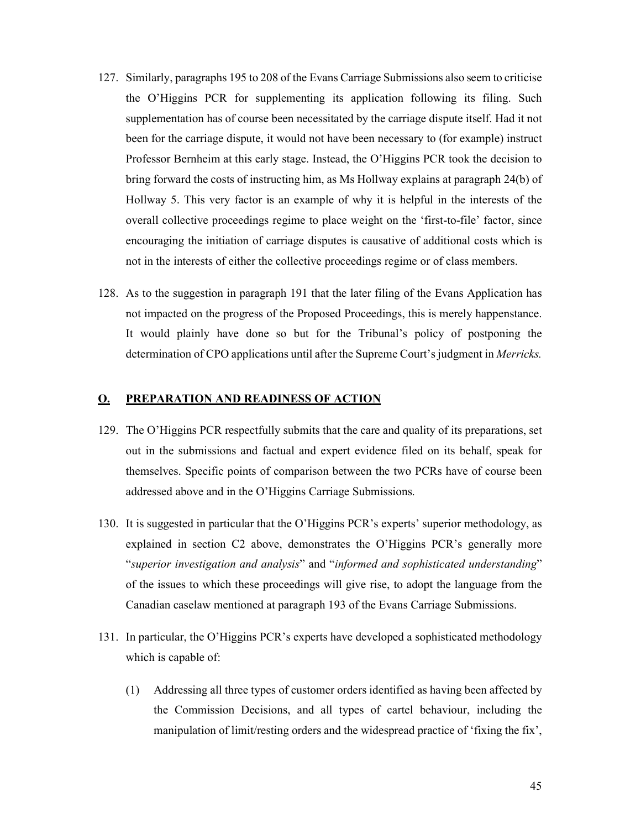- 127. Similarly, paragraphs 195 to 208 of the Evans Carriage Submissions also seem to criticise the O'Higgins PCR for supplementing its application following its filing. Such supplementation has of course been necessitated by the carriage dispute itself. Had it not been for the carriage dispute, it would not have been necessary to (for example) instruct Professor Bernheim at this early stage. Instead, the O'Higgins PCR took the decision to bring forward the costs of instructing him, as Ms Hollway explains at paragraph 24(b) of Hollway 5. This very factor is an example of why it is helpful in the interests of the overall collective proceedings regime to place weight on the 'first-to-file' factor, since encouraging the initiation of carriage disputes is causative of additional costs which is not in the interests of either the collective proceedings regime or of class members.
- 128. As to the suggestion in paragraph 191 that the later filing of the Evans Application has not impacted on the progress of the Proposed Proceedings, this is merely happenstance. It would plainly have done so but for the Tribunal's policy of postponing the determination of CPO applications until after the Supreme Court's judgment in *Merricks.*

### **O. PREPARATION AND READINESS OF ACTION**

- 129. The O'Higgins PCR respectfully submits that the care and quality of its preparations, set out in the submissions and factual and expert evidence filed on its behalf, speak for themselves. Specific points of comparison between the two PCRs have of course been addressed above and in the O'Higgins Carriage Submissions.
- 130. It is suggested in particular that the O'Higgins PCR's experts' superior methodology, as explained in section C2 above, demonstrates the O'Higgins PCR's generally more "*superior investigation and analysis*" and "*informed and sophisticated understanding*" of the issues to which these proceedings will give rise, to adopt the language from the Canadian caselaw mentioned at paragraph 193 of the Evans Carriage Submissions.
- 131. In particular, the O'Higgins PCR's experts have developed a sophisticated methodology which is capable of:
	- (1) Addressing all three types of customer orders identified as having been affected by the Commission Decisions, and all types of cartel behaviour, including the manipulation of limit/resting orders and the widespread practice of 'fixing the fix',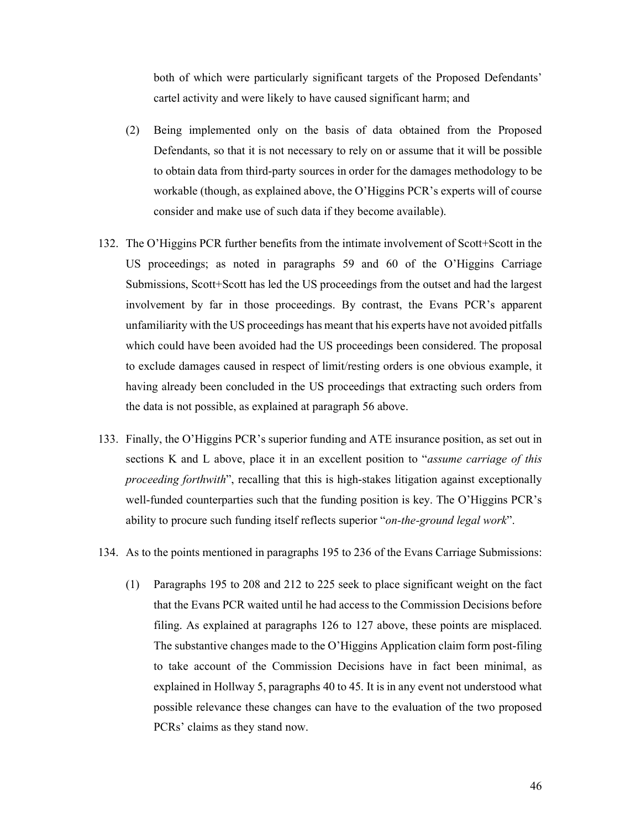both of which were particularly significant targets of the Proposed Defendants' cartel activity and were likely to have caused significant harm; and

- (2) Being implemented only on the basis of data obtained from the Proposed Defendants, so that it is not necessary to rely on or assume that it will be possible to obtain data from third-party sources in order for the damages methodology to be workable (though, as explained above, the O'Higgins PCR's experts will of course consider and make use of such data if they become available).
- 132. The O'Higgins PCR further benefits from the intimate involvement of Scott+Scott in the US proceedings; as noted in paragraphs 59 and 60 of the O'Higgins Carriage Submissions, Scott+Scott has led the US proceedings from the outset and had the largest involvement by far in those proceedings. By contrast, the Evans PCR's apparent unfamiliarity with the US proceedings has meant that his experts have not avoided pitfalls which could have been avoided had the US proceedings been considered. The proposal to exclude damages caused in respect of limit/resting orders is one obvious example, it having already been concluded in the US proceedings that extracting such orders from the data is not possible, as explained at paragraph 56 above.
- 133. Finally, the O'Higgins PCR's superior funding and ATE insurance position, as set out in sections K and L above, place it in an excellent position to "*assume carriage of this proceeding forthwith*", recalling that this is high-stakes litigation against exceptionally well-funded counterparties such that the funding position is key. The O'Higgins PCR's ability to procure such funding itself reflects superior "*on-the-ground legal work*".
- 134. As to the points mentioned in paragraphs 195 to 236 of the Evans Carriage Submissions:
	- (1) Paragraphs 195 to 208 and 212 to 225 seek to place significant weight on the fact that the Evans PCR waited until he had access to the Commission Decisions before filing. As explained at paragraphs 126 to 127 above, these points are misplaced. The substantive changes made to the O'Higgins Application claim form post-filing to take account of the Commission Decisions have in fact been minimal, as explained in Hollway 5, paragraphs 40 to 45. It is in any event not understood what possible relevance these changes can have to the evaluation of the two proposed PCRs' claims as they stand now.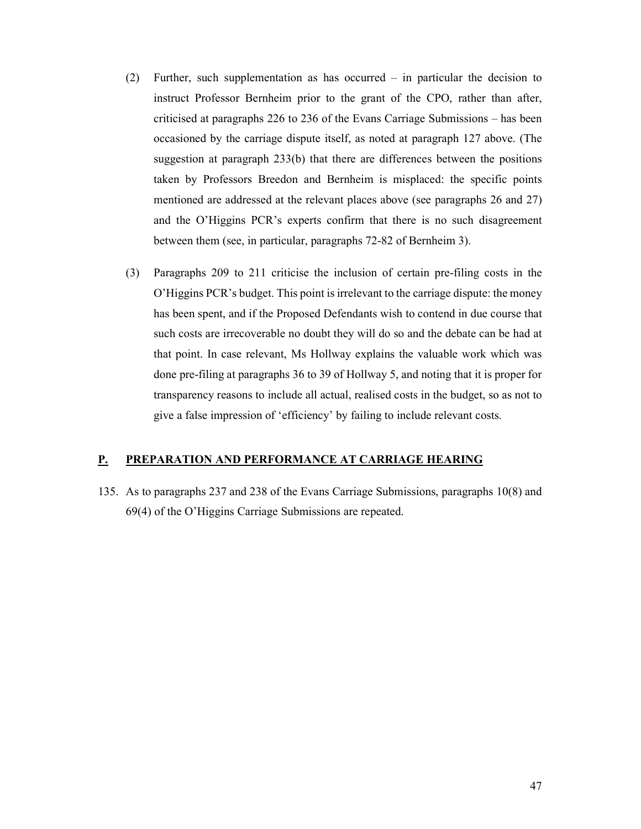- (2) Further, such supplementation as has occurred in particular the decision to instruct Professor Bernheim prior to the grant of the CPO, rather than after, criticised at paragraphs 226 to 236 of the Evans Carriage Submissions – has been occasioned by the carriage dispute itself, as noted at paragraph 127 above. (The suggestion at paragraph 233(b) that there are differences between the positions taken by Professors Breedon and Bernheim is misplaced: the specific points mentioned are addressed at the relevant places above (see paragraphs 26 and 27) and the O'Higgins PCR's experts confirm that there is no such disagreement between them (see, in particular, paragraphs 72-82 of Bernheim 3).
- (3) Paragraphs 209 to 211 criticise the inclusion of certain pre-filing costs in the O'Higgins PCR's budget. This point is irrelevant to the carriage dispute: the money has been spent, and if the Proposed Defendants wish to contend in due course that such costs are irrecoverable no doubt they will do so and the debate can be had at that point. In case relevant, Ms Hollway explains the valuable work which was done pre-filing at paragraphs 36 to 39 of Hollway 5, and noting that it is proper for transparency reasons to include all actual, realised costs in the budget, so as not to give a false impression of 'efficiency' by failing to include relevant costs.

## **P. PREPARATION AND PERFORMANCE AT CARRIAGE HEARING**

135. As to paragraphs 237 and 238 of the Evans Carriage Submissions, paragraphs 10(8) and 69(4) of the O'Higgins Carriage Submissions are repeated.